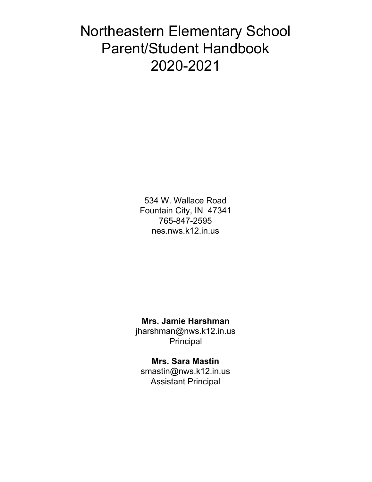# Northeastern Elementary School Parent/Student Handbook 2020-2021

534 W. Wallace Road Fountain City, IN 47341 765-847-2595 nes.nws.k12.in.us

### **Mrs. Jamie Harshman**

jharshman@nws.k12.in.us Principal

### **Mrs. Sara Mastin**

smastin@nws.k12.in.us Assistant Principal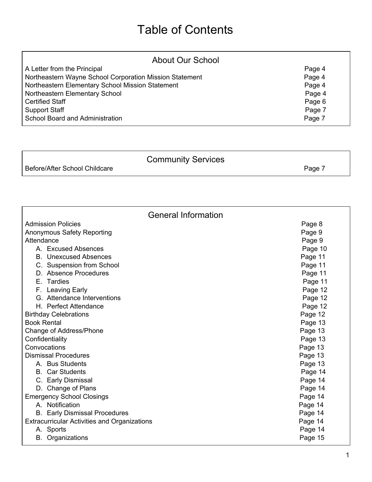# Table of Contents

| <b>About Our School</b>                                 |        |
|---------------------------------------------------------|--------|
| A Letter from the Principal                             | Page 4 |
| Northeastern Wayne School Corporation Mission Statement | Page 4 |
| Northeastern Elementary School Mission Statement        | Page 4 |
| Northeastern Elementary School                          | Page 4 |
| <b>Certified Staff</b>                                  | Page 6 |
| <b>Support Staff</b>                                    | Page 7 |
| School Board and Administration                         | Page 7 |

|                               | <b>Community Services</b> |        |
|-------------------------------|---------------------------|--------|
| Before/After School Childcare |                           | Page 7 |

| <b>General Information</b>                          |         |
|-----------------------------------------------------|---------|
| <b>Admission Policies</b>                           | Page 8  |
| <b>Anonymous Safety Reporting</b>                   | Page 9  |
| Attendance                                          | Page 9  |
| A. Excused Absences                                 | Page 10 |
| <b>B.</b> Unexcused Absences                        | Page 11 |
| C. Suspension from School                           | Page 11 |
| D. Absence Procedures                               | Page 11 |
| E. Tardies                                          | Page 11 |
| F. Leaving Early                                    | Page 12 |
| G. Attendance Interventions                         | Page 12 |
| H. Perfect Attendance                               | Page 12 |
| <b>Birthday Celebrations</b>                        | Page 12 |
| <b>Book Rental</b>                                  | Page 13 |
| Change of Address/Phone                             | Page 13 |
| Confidentiality                                     | Page 13 |
| Convocations                                        | Page 13 |
| <b>Dismissal Procedures</b>                         | Page 13 |
| A. Bus Students                                     | Page 13 |
| <b>B.</b> Car Students                              | Page 14 |
| C. Early Dismissal                                  | Page 14 |
| D. Change of Plans                                  | Page 14 |
| <b>Emergency School Closings</b>                    | Page 14 |
| A. Notification                                     | Page 14 |
| <b>B.</b> Early Dismissal Procedures                | Page 14 |
| <b>Extracurricular Activities and Organizations</b> | Page 14 |
| A. Sports                                           | Page 14 |
| <b>B.</b> Organizations                             | Page 15 |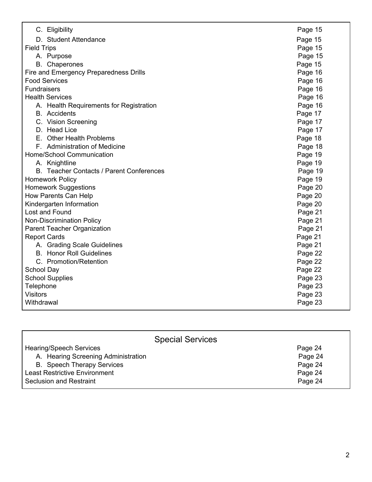| C. Eligibility                           | Page 15 |
|------------------------------------------|---------|
| D. Student Attendance                    | Page 15 |
| <b>Field Trips</b>                       | Page 15 |
| A. Purpose                               | Page 15 |
| <b>B.</b> Chaperones                     | Page 15 |
| Fire and Emergency Preparedness Drills   | Page 16 |
| <b>Food Services</b>                     | Page 16 |
| <b>Fundraisers</b>                       | Page 16 |
| <b>Health Services</b>                   | Page 16 |
| A. Health Requirements for Registration  | Page 16 |
| <b>B.</b> Accidents                      | Page 17 |
| C. Vision Screening                      | Page 17 |
| D. Head Lice                             | Page 17 |
| E. Other Health Problems                 | Page 18 |
| F. Administration of Medicine            | Page 18 |
| Home/School Communication                | Page 19 |
| A. Knightline                            | Page 19 |
| B. Teacher Contacts / Parent Conferences | Page 19 |
| <b>Homework Policy</b>                   | Page 19 |
| <b>Homework Suggestions</b>              | Page 20 |
| How Parents Can Help                     | Page 20 |
| Kindergarten Information                 | Page 20 |
| Lost and Found                           | Page 21 |
| Non-Discrimination Policy                | Page 21 |
| Parent Teacher Organization              | Page 21 |
| <b>Report Cards</b>                      | Page 21 |
| A. Grading Scale Guidelines              | Page 21 |
| <b>B.</b> Honor Roll Guidelines          | Page 22 |
| C. Promotion/Retention                   | Page 22 |
| School Day                               | Page 22 |
| <b>School Supplies</b>                   | Page 23 |
| Telephone                                | Page 23 |
| <b>Visitors</b>                          | Page 23 |
| Withdrawal                               | Page 23 |

| <b>Special Services</b>              |         |
|--------------------------------------|---------|
| <b>Hearing/Speech Services</b>       | Page 24 |
| A. Hearing Screening Administration  | Page 24 |
| <b>B.</b> Speech Therapy Services    | Page 24 |
| <b>Least Restrictive Environment</b> | Page 24 |
| <b>Seclusion and Restraint</b>       | Page 24 |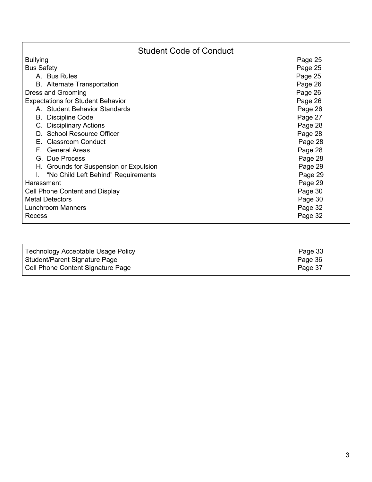| <b>Bullying</b><br>Page 25<br><b>Bus Safety</b><br>Page 25<br>A. Bus Rules<br>Page 25<br>Page 26<br><b>B.</b> Alternate Transportation<br>Dress and Grooming<br>Page 26<br><b>Expectations for Student Behavior</b><br>Page 26<br>A. Student Behavior Standards<br>Page 26<br>Page 27<br><b>B.</b> Discipline Code<br>Page 28<br><b>Disciplinary Actions</b><br>C.<br>D. School Resource Officer<br>Page 28<br>Page 28<br>E. Classroom Conduct<br>Page 28<br><b>General Areas</b><br>E.<br>G. Due Process<br>Page 28<br>Page 29<br>Grounds for Suspension or Expulsion<br>H. .<br>Page 29<br>"No Child Left Behind" Requirements |
|----------------------------------------------------------------------------------------------------------------------------------------------------------------------------------------------------------------------------------------------------------------------------------------------------------------------------------------------------------------------------------------------------------------------------------------------------------------------------------------------------------------------------------------------------------------------------------------------------------------------------------|
|                                                                                                                                                                                                                                                                                                                                                                                                                                                                                                                                                                                                                                  |
|                                                                                                                                                                                                                                                                                                                                                                                                                                                                                                                                                                                                                                  |
|                                                                                                                                                                                                                                                                                                                                                                                                                                                                                                                                                                                                                                  |
|                                                                                                                                                                                                                                                                                                                                                                                                                                                                                                                                                                                                                                  |
|                                                                                                                                                                                                                                                                                                                                                                                                                                                                                                                                                                                                                                  |
|                                                                                                                                                                                                                                                                                                                                                                                                                                                                                                                                                                                                                                  |
|                                                                                                                                                                                                                                                                                                                                                                                                                                                                                                                                                                                                                                  |
|                                                                                                                                                                                                                                                                                                                                                                                                                                                                                                                                                                                                                                  |
|                                                                                                                                                                                                                                                                                                                                                                                                                                                                                                                                                                                                                                  |
|                                                                                                                                                                                                                                                                                                                                                                                                                                                                                                                                                                                                                                  |
|                                                                                                                                                                                                                                                                                                                                                                                                                                                                                                                                                                                                                                  |
|                                                                                                                                                                                                                                                                                                                                                                                                                                                                                                                                                                                                                                  |
|                                                                                                                                                                                                                                                                                                                                                                                                                                                                                                                                                                                                                                  |
|                                                                                                                                                                                                                                                                                                                                                                                                                                                                                                                                                                                                                                  |
|                                                                                                                                                                                                                                                                                                                                                                                                                                                                                                                                                                                                                                  |
| Harassment<br>Page 29                                                                                                                                                                                                                                                                                                                                                                                                                                                                                                                                                                                                            |
| Page 30<br>Cell Phone Content and Display                                                                                                                                                                                                                                                                                                                                                                                                                                                                                                                                                                                        |
| <b>Metal Detectors</b><br>Page 30                                                                                                                                                                                                                                                                                                                                                                                                                                                                                                                                                                                                |
| <b>Lunchroom Manners</b><br>Page 32                                                                                                                                                                                                                                                                                                                                                                                                                                                                                                                                                                                              |
| Page 32<br>Recess                                                                                                                                                                                                                                                                                                                                                                                                                                                                                                                                                                                                                |

| <b>Technology Acceptable Usage Policy</b> | Page 33 |
|-------------------------------------------|---------|
| Student/Parent Signature Page             | Page 36 |
| Cell Phone Content Signature Page         | Page 37 |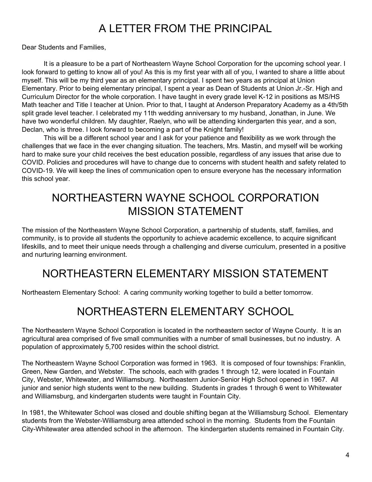# A LETTER FROM THE PRINCIPAL

Dear Students and Families,

It is a pleasure to be a part of Northeastern Wayne School Corporation for the upcoming school year. I look forward to getting to know all of you! As this is my first year with all of you, I wanted to share a little about myself. This will be my third year as an elementary principal. I spent two years as principal at Union Elementary. Prior to being elementary principal, I spent a year as Dean of Students at Union Jr.-Sr. High and Curriculum Director for the whole corporation. I have taught in every grade level K-12 in positions as MS/HS Math teacher and Title I teacher at Union. Prior to that, I taught at Anderson Preparatory Academy as a 4th/5th split grade level teacher. I celebrated my 11th wedding anniversary to my husband, Jonathan, in June. We have two wonderful children. My daughter, Raelyn, who will be attending kindergarten this year, and a son, Declan, who is three. I look forward to becoming a part of the Knight family!

This will be a different school year and I ask for your patience and flexibility as we work through the challenges that we face in the ever changing situation. The teachers, Mrs. Mastin, and myself will be working hard to make sure your child receives the best education possible, regardless of any issues that arise due to COVID. Policies and procedures will have to change due to concerns with student health and safety related to COVID-19. We will keep the lines of communication open to ensure everyone has the necessary information this school year.

# NORTHEASTERN WAYNE SCHOOL CORPORATION MISSION STATEMENT

The mission of the Northeastern Wayne School Corporation, a partnership of students, staff, families, and community, is to provide all students the opportunity to achieve academic excellence, to acquire significant lifeskills, and to meet their unique needs through a challenging and diverse curriculum, presented in a positive and nurturing learning environment.

# NORTHEASTERN ELEMENTARY MISSION STATEMENT

Northeastern Elementary School: A caring community working together to build a better tomorrow.

# NORTHEASTERN ELEMENTARY SCHOOL

The Northeastern Wayne School Corporation is located in the northeastern sector of Wayne County. It is an agricultural area comprised of five small communities with a number of small businesses, but no industry. A population of approximately 5,700 resides within the school district.

The Northeastern Wayne School Corporation was formed in 1963. It is composed of four townships: Franklin, Green, New Garden, and Webster. The schools, each with grades 1 through 12, were located in Fountain City, Webster, Whitewater, and Williamsburg. Northeastern Junior-Senior High School opened in 1967. All junior and senior high students went to the new building. Students in grades 1 through 6 went to Whitewater and Williamsburg, and kindergarten students were taught in Fountain City.

In 1981, the Whitewater School was closed and double shifting began at the Williamsburg School. Elementary students from the Webster-Williamsburg area attended school in the morning. Students from the Fountain City-Whitewater area attended school in the afternoon. The kindergarten students remained in Fountain City.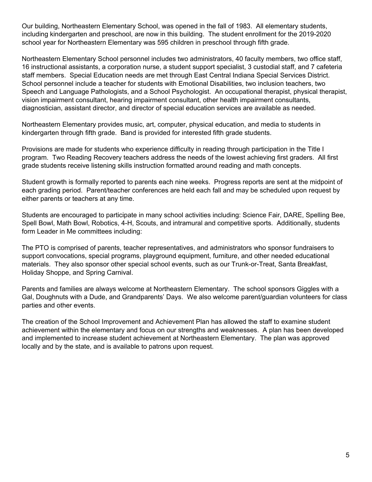Our building, Northeastern Elementary School, was opened in the fall of 1983. All elementary students, including kindergarten and preschool, are now in this building. The student enrollment for the 2019-2020 school year for Northeastern Elementary was 595 children in preschool through fifth grade.

Northeastern Elementary School personnel includes two administrators, 40 faculty members, two office staff, 16 instructional assistants, a corporation nurse, a student support specialist, 3 custodial staff, and 7 cafeteria staff members. Special Education needs are met through East Central Indiana Special Services District. School personnel include a teacher for students with Emotional Disabilities, two inclusion teachers, two Speech and Language Pathologists, and a School Psychologist. An occupational therapist, physical therapist, vision impairment consultant, hearing impairment consultant, other health impairment consultants, diagnostician, assistant director, and director of special education services are available as needed.

Northeastern Elementary provides music, art, computer, physical education, and media to students in kindergarten through fifth grade. Band is provided for interested fifth grade students.

Provisions are made for students who experience difficulty in reading through participation in the Title I program. Two Reading Recovery teachers address the needs of the lowest achieving first graders. All first grade students receive listening skills instruction formatted around reading and math concepts.

Student growth is formally reported to parents each nine weeks. Progress reports are sent at the midpoint of each grading period. Parent/teacher conferences are held each fall and may be scheduled upon request by either parents or teachers at any time.

Students are encouraged to participate in many school activities including: Science Fair, DARE, Spelling Bee, Spell Bowl, Math Bowl, Robotics, 4-H, Scouts, and intramural and competitive sports. Additionally, students form Leader in Me committees including:

The PTO is comprised of parents, teacher representatives, and administrators who sponsor fundraisers to support convocations, special programs, playground equipment, furniture, and other needed educational materials. They also sponsor other special school events, such as our Trunk-or-Treat, Santa Breakfast, Holiday Shoppe, and Spring Carnival.

Parents and families are always welcome at Northeastern Elementary. The school sponsors Giggles with a Gal, Doughnuts with a Dude, and Grandparents' Days. We also welcome parent/guardian volunteers for class parties and other events.

The creation of the School Improvement and Achievement Plan has allowed the staff to examine student achievement within the elementary and focus on our strengths and weaknesses. A plan has been developed and implemented to increase student achievement at Northeastern Elementary. The plan was approved locally and by the state, and is available to patrons upon request.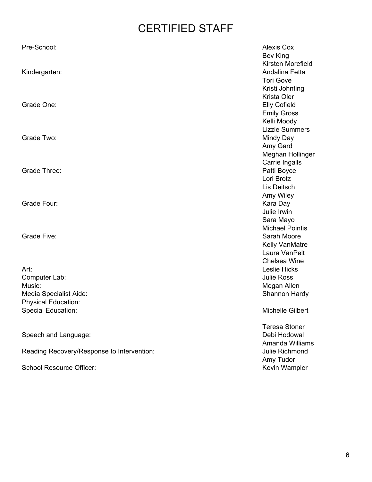# CERTIFIED STAFF

| Pre-School:                                             | <b>Alexis Cox</b><br>Bev King<br>Kirsten Morefield                                    |
|---------------------------------------------------------|---------------------------------------------------------------------------------------|
| Kindergarten:                                           | Andalina Fetta<br><b>Tori Gove</b><br>Kristi Johnting                                 |
| Grade One:                                              | Krista Oler<br><b>Elly Cofield</b><br><b>Emily Gross</b><br>Kelli Moody               |
| Grade Two:                                              | <b>Lizzie Summers</b><br>Mindy Day<br>Amy Gard                                        |
| Grade Three:                                            | Meghan Hollinger<br>Carrie Ingalls<br>Patti Boyce<br>Lori Brotz                       |
| Grade Four:                                             | Lis Deitsch<br>Amy Wiley<br>Kara Day<br>Julie Irwin                                   |
| Grade Five:                                             | Sara Mayo<br><b>Michael Pointis</b><br>Sarah Moore<br>Kelly VanMatre<br>Laura VanPelt |
|                                                         | Chelsea Wine                                                                          |
| Art:                                                    | Leslie Hicks                                                                          |
| Computer Lab:                                           | <b>Julie Ross</b>                                                                     |
| Music:                                                  | Megan Allen                                                                           |
| Media Specialist Aide:                                  | Shannon Hardy                                                                         |
| <b>Physical Education:</b><br><b>Special Education:</b> | Michelle Gilbert                                                                      |
|                                                         | <b>Teresa Stoner</b>                                                                  |
| Speech and Language:                                    | Debi Hodowal                                                                          |
|                                                         | Amanda Williams                                                                       |
| Reading Recovery/Response to Intervention:              | Julie Richmond<br>Amy Tudor                                                           |
| School Resource Officer:                                | Kevin Wampler                                                                         |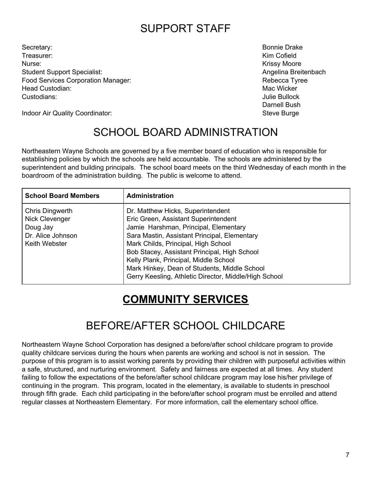# SUPPORT STAFF

Secretary: **Bonnie Drake** Treasurer: Kim Cofield Nurse: Krissy Moore Student Support Specialist: Angelina Breitenbach and Student Support Specialist: Angelina Breitenbach Food Services Corporation Manager: The Contract of Contract Contract Rebecca Tyree **Head Custodian:** Mac Wicker New York 2012 12:00 No. 2012 12:00 Nac Wicker New York 2012 12:00 Nac Wicker Custodians: Julie Bullock

Darnell Bush

Indoor Air Quality Coordinator: Steve Burge Steve Burge Steve Burge Steve Burge

# SCHOOL BOARD ADMINISTRATION

Northeastern Wayne Schools are governed by a five member board of education who is responsible for establishing policies by which the schools are held accountable. The schools are administered by the superintendent and building principals. The school board meets on the third Wednesday of each month in the boardroom of the administration building. The public is welcome to attend.

| <b>School Board Members</b>                                                                | Administration                                                                                                                                                                                                                                                                                                                                                                                              |
|--------------------------------------------------------------------------------------------|-------------------------------------------------------------------------------------------------------------------------------------------------------------------------------------------------------------------------------------------------------------------------------------------------------------------------------------------------------------------------------------------------------------|
| Chris Dingwerth<br><b>Nick Clevenger</b><br>Doug Jay<br>Dr. Alice Johnson<br>Keith Webster | Dr. Matthew Hicks, Superintendent<br>Eric Green, Assistant Superintendent<br>Jamie Harshman, Principal, Elementary<br>Sara Mastin, Assistant Principal, Elementary<br>Mark Childs, Principal, High School<br>Bob Stacey, Assistant Principal, High School<br>Kelly Plank, Principal, Middle School<br>Mark Hinkey, Dean of Students, Middle School<br>Gerry Keesling, Athletic Director, Middle/High School |

# **COMMUNITY SERVICES**

# BEFORE/AFTER SCHOOL CHILDCARE

Northeastern Wayne School Corporation has designed a before/after school childcare program to provide quality childcare services during the hours when parents are working and school is not in session. The purpose of this program is to assist working parents by providing their children with purposeful activities within a safe, structured, and nurturing environment. Safety and fairness are expected at all times. Any student failing to follow the expectations of the before/after school childcare program may lose his/her privilege of continuing in the program. This program, located in the elementary, is available to students in preschool through fifth grade. Each child participating in the before/after school program must be enrolled and attend regular classes at Northeastern Elementary. For more information, call the elementary school office.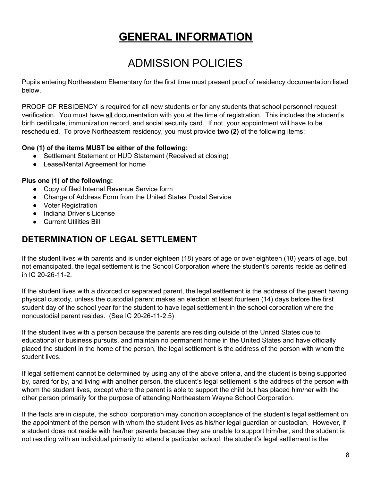# **GENERAL INFORMATION**

# ADMISSION POLICIES

Pupils entering Northeastern Elementary for the first time must present proof of residency documentation listed below.

PROOF OF RESIDENCY is required for all new students or for any students that school personnel request verification. You must have all documentation with you at the time of registration. This includes the student's birth certificate, immunization record, and social security card. If not, your appointment will have to be rescheduled. To prove Northeastern residency, you must provide **two (2)** of the following items:

### **One (1) of the items MUST be either of the following:**

- Settlement Statement or HUD Statement (Received at closing)
- Lease/Rental Agreement for home

### **Plus one (1) of the following:**

- Copy of filed Internal Revenue Service form
- Change of Address Form from the United States Postal Service
- Voter Registration
- Indiana Driver's License
- Current Utilities Bill

## **DETERMINATION OF LEGAL SETTLEMENT**

If the student lives with parents and is under eighteen (18) years of age or over eighteen (18) years of age, but not emancipated, the legal settlement is the School Corporation where the student's parents reside as defined in IC 20-26-11-2.

If the student lives with a divorced or separated parent, the legal settlement is the address of the parent having physical custody, unless the custodial parent makes an election at least fourteen (14) days before the first student day of the school year for the student to have legal settlement in the school corporation where the noncustodial parent resides. (See IC 20-26-11-2.5)

If the student lives with a person because the parents are residing outside of the United States due to educational or business pursuits, and maintain no permanent home in the United States and have officially placed the student in the home of the person, the legal settlement is the address of the person with whom the student lives.

If legal settlement cannot be determined by using any of the above criteria, and the student is being supported by, cared for by, and living with another person, the student's legal settlement is the address of the person with whom the student lives, except where the parent is able to support the child but has placed him/her with the other person primarily for the purpose of attending Northeastern Wayne School Corporation.

If the facts are in dispute, the school corporation may condition acceptance of the student's legal settlement on the appointment of the person with whom the student lives as his/her legal guardian or custodian. However, if a student does not reside with her/her parents because they are unable to support him/her, and the student is not residing with an individual primarily to attend a particular school, the student's legal settlement is the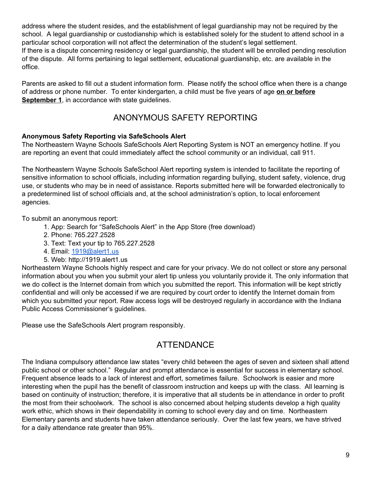address where the student resides, and the establishment of legal guardianship may not be required by the school. A legal guardianship or custodianship which is established solely for the student to attend school in a particular school corporation will not affect the determination of the student's legal settlement. If there is a dispute concerning residency or legal guardianship, the student will be enrolled pending resolution of the dispute. All forms pertaining to legal settlement, educational guardianship, etc. are available in the office.

Parents are asked to fill out a student information form. Please notify the school office when there is a change of address or phone number. To enter kindergarten, a child must be five years of age **on or before September 1**, in accordance with state guidelines.

## ANONYMOUS SAFETY REPORTING

### **Anonymous Safety Reporting via SafeSchools Alert**

The Northeastern Wayne Schools SafeSchools Alert Reporting System is NOT an emergency hotline. If you are reporting an event that could immediately affect the school community or an individual, call 911.

The Northeastern Wayne Schools SafeSchool Alert reporting system is intended to facilitate the reporting of sensitive information to school officials, including information regarding bullying, student safety, violence, drug use, or students who may be in need of assistance. Reports submitted here will be forwarded electronically to a predetermined list of school officials and, at the school administration's option, to local enforcement agencies.

To submit an anonymous report:

- 1. App: Search for "SafeSchools Alert" in the App Store (free download)
- 2. Phone: 765.227.2528
- 3. Text: Text your tip to 765.227.2528
- 4. Email: [1919@alert1.us](mailto:1919@alert1.us)
- 5. Web: http://1919.alert1.us

Northeastern Wayne Schools highly respect and care for your privacy. We do not collect or store any personal information about you when you submit your alert tip unless you voluntarily provide it. The only information that we do collect is the Internet domain from which you submitted the report. This information will be kept strictly confidential and will only be accessed if we are required by court order to identify the Internet domain from which you submitted your report. Raw access logs will be destroyed regularly in accordance with the Indiana Public Access Commissioner's guidelines.

Please use the SafeSchools Alert program responsibly.

# **ATTENDANCE**

The Indiana compulsory attendance law states "every child between the ages of seven and sixteen shall attend public school or other school." Regular and prompt attendance is essential for success in elementary school. Frequent absence leads to a lack of interest and effort, sometimes failure. Schoolwork is easier and more interesting when the pupil has the benefit of classroom instruction and keeps up with the class. All learning is based on continuity of instruction; therefore, it is imperative that all students be in attendance in order to profit the most from their schoolwork. The school is also concerned about helping students develop a high quality work ethic, which shows in their dependability in coming to school every day and on time. Northeastern Elementary parents and students have taken attendance seriously. Over the last few years, we have strived for a daily attendance rate greater than 95%.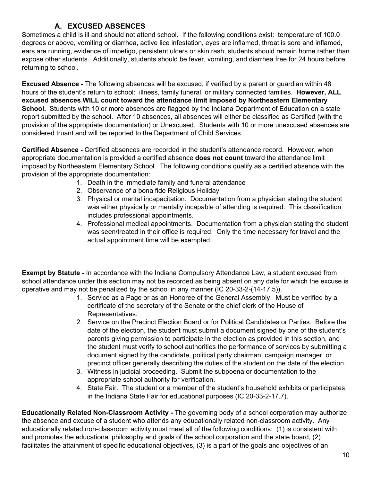### **A. EXCUSED ABSENCES**

Sometimes a child is ill and should not attend school. If the following conditions exist: temperature of 100.0 degrees or above, vomiting or diarrhea, active lice infestation, eyes are inflamed, throat is sore and inflamed, ears are running, evidence of impetigo, persistent ulcers or skin rash, students should remain home rather than expose other students. Additionally, students should be fever, vomiting, and diarrhea free for 24 hours before returning to school.

**Excused Absence -** The following absences will be excused, if verified by a parent or guardian within 48 hours of the student's return to school: illness, family funeral, or military connected families. **However, ALL excused absences WILL count toward the attendance limit imposed by Northeastern Elementary School.** Students with 10 or more absences are flagged by the Indiana Department of Education on a state report submitted by the school. After 10 absences, all absences will either be classified as Certified (with the provision of the appropriate documentation) or Unexcused. Students with 10 or more unexcused absences are considered truant and will be reported to the Department of Child Services.

**Certified Absence -** Certified absences are recorded in the student's attendance record. However, when appropriate documentation is provided a certified absence **does not count** toward the attendance limit imposed by Northeastern Elementary School. The following conditions qualify as a certified absence with the provision of the appropriate documentation:

- 1. Death in the immediate family and funeral attendance
- 2. Observance of a bona fide Religious Holiday
- 3. Physical or mental incapacitation. Documentation from a physician stating the student was either physically or mentally incapable of attending is required. This classification includes professional appointments.
- 4. Professional medical appointments. Documentation from a physician stating the student was seen/treated in their office is required. Only the time necessary for travel and the actual appointment time will be exempted.

**Exempt by Statute -** In accordance with the Indiana Compulsory Attendance Law, a student excused from school attendance under this section may not be recorded as being absent on any date for which the excuse is operative and may not be penalized by the school in any manner (IC 20-33-2-(14-17.5)).

- 1. Service as a Page or as an Honoree of the General Assembly. Must be verified by a certificate of the secretary of the Senate or the chief clerk of the House of Representatives.
- 2. Service on the Precinct Election Board or for Political Candidates or Parties. Before the date of the election, the student must submit a document signed by one of the student's parents giving permission to participate in the election as provided in this section, and the student must verify to school authorities the performance of services by submitting a document signed by the candidate, political party chairman, campaign manager, or precinct officer generally describing the duties of the student on the date of the election.
- 3. Witness in judicial proceeding. Submit the subpoena or documentation to the appropriate school authority for verification.
- 4. State Fair. The student or a member of the student's household exhibits or participates in the Indiana State Fair for educational purposes (IC 20-33-2-17.7).

**Educationally Related Non-Classroom Activity -** The governing body of a school corporation may authorize the absence and excuse of a student who attends any educationally related non-classroom activity. Any educationally related non-classroom activity must meet all of the following conditions: (1) is consistent with and promotes the educational philosophy and goals of the school corporation and the state board, (2) facilitates the attainment of specific educational objectives, (3) is a part of the goals and objectives of an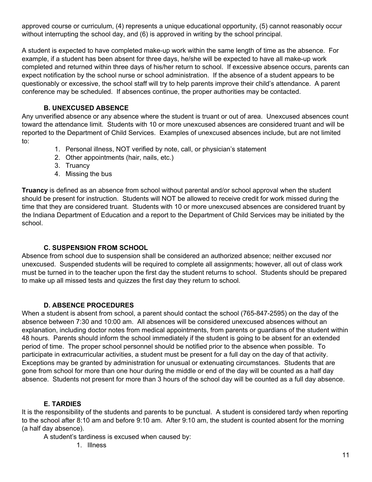approved course or curriculum, (4) represents a unique educational opportunity, (5) cannot reasonably occur without interrupting the school day, and (6) is approved in writing by the school principal.

A student is expected to have completed make-up work within the same length of time as the absence. For example, if a student has been absent for three days, he/she will be expected to have all make-up work completed and returned within three days of his/her return to school. If excessive absence occurs, parents can expect notification by the school nurse or school administration. If the absence of a student appears to be questionably or excessive, the school staff will try to help parents improve their child's attendance. A parent conference may be scheduled. If absences continue, the proper authorities may be contacted.

### **B. UNEXCUSED ABSENCE**

Any unverified absence or any absence where the student is truant or out of area. Unexcused absences count toward the attendance limit. Students with 10 or more unexcused absences are considered truant and will be reported to the Department of Child Services. Examples of unexcused absences include, but are not limited to:

- 1. Personal illness, NOT verified by note, call, or physician's statement
- 2. Other appointments (hair, nails, etc.)
- 3. Truancy
- 4. Missing the bus

**Truancy** is defined as an absence from school without parental and/or school approval when the student should be present for instruction. Students will NOT be allowed to receive credit for work missed during the time that they are considered truant. Students with 10 or more unexcused absences are considered truant by the Indiana Department of Education and a report to the Department of Child Services may be initiated by the school.

### **C. SUSPENSION FROM SCHOOL**

Absence from school due to suspension shall be considered an authorized absence; neither excused nor unexcused. Suspended students will be required to complete all assignments; however, all out of class work must be turned in to the teacher upon the first day the student returns to school. Students should be prepared to make up all missed tests and quizzes the first day they return to school.

### **D. ABSENCE PROCEDURES**

When a student is absent from school, a parent should contact the school (765-847-2595) on the day of the absence between 7:30 and 10:00 am. All absences will be considered unexcused absences without an explanation, including doctor notes from medical appointments, from parents or guardians of the student within 48 hours. Parents should inform the school immediately if the student is going to be absent for an extended period of time. The proper school personnel should be notified prior to the absence when possible. To participate in extracurricular activities, a student must be present for a full day on the day of that activity. Exceptions may be granted by administration for unusual or extenuating circumstances. Students that are gone from school for more than one hour during the middle or end of the day will be counted as a half day absence. Students not present for more than 3 hours of the school day will be counted as a full day absence.

### **E. TARDIES**

It is the responsibility of the students and parents to be punctual. A student is considered tardy when reporting to the school after 8:10 am and before 9:10 am. After 9:10 am, the student is counted absent for the morning (a half day absence).

A student's tardiness is excused when caused by:

1. Illness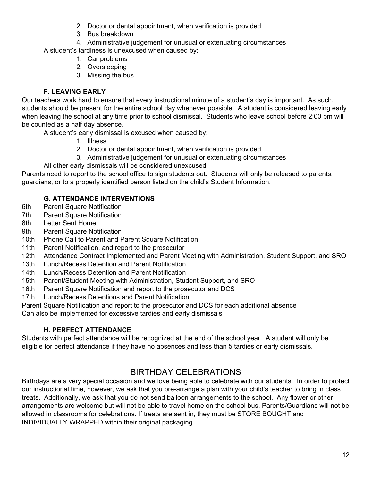- 2. Doctor or dental appointment, when verification is provided
- 3. Bus breakdown
- 4. Administrative judgement for unusual or extenuating circumstances

A student's tardiness is unexcused when caused by:

- 1. Car problems
- 2. Oversleeping
- 3. Missing the bus

### **F. LEAVING EARLY**

Our teachers work hard to ensure that every instructional minute of a student's day is important. As such, students should be present for the entire school day whenever possible. A student is considered leaving early when leaving the school at any time prior to school dismissal. Students who leave school before 2:00 pm will be counted as a half day absence.

A student's early dismissal is excused when caused by:

- 1. Illness
- 2. Doctor or dental appointment, when verification is provided
- 3. Administrative judgement for unusual or extenuating circumstances
- All other early dismissals will be considered unexcused.

Parents need to report to the school office to sign students out. Students will only be released to parents, guardians, or to a properly identified person listed on the child's Student Information.

### **G. ATTENDANCE INTERVENTIONS**

- 6th Parent Square Notification
- 7th Parent Square Notification
- 8th Letter Sent Home
- 9th Parent Square Notification
- 10th Phone Call to Parent and Parent Square Notification
- 11th Parent Notification, and report to the prosecutor
- 12th Attendance Contract Implemented and Parent Meeting with Administration, Student Support, and SRO
- 13th Lunch/Recess Detention and Parent Notification
- 14th Lunch/Recess Detention and Parent Notification
- 15th Parent/Student Meeting with Administration, Student Support, and SRO
- 16th Parent Square Notification and report to the prosecutor and DCS
- 17th Lunch/Recess Detentions and Parent Notification
- Parent Square Notification and report to the prosecutor and DCS for each additional absence

Can also be implemented for excessive tardies and early dismissals

### **H. PERFECT ATTENDANCE**

Students with perfect attendance will be recognized at the end of the school year. A student will only be eligible for perfect attendance if they have no absences and less than 5 tardies or early dismissals.

# BIRTHDAY CELEBRATIONS

Birthdays are a very special occasion and we love being able to celebrate with our students. In order to protect our instructional time, however, we ask that you pre-arrange a plan with your child's teacher to bring in class treats. Additionally, we ask that you do not send balloon arrangements to the school. Any flower or other arrangements are welcome but will not be able to travel home on the school bus. Parents/Guardians will not be allowed in classrooms for celebrations. If treats are sent in, they must be STORE BOUGHT and INDIVIDUALLY WRAPPED within their original packaging.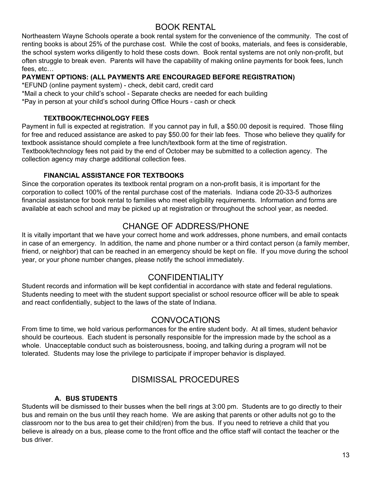## BOOK RENTAL

Northeastern Wayne Schools operate a book rental system for the convenience of the community. The cost of renting books is about 25% of the purchase cost. While the cost of books, materials, and fees is considerable, the school system works diligently to hold these costs down. Book rental systems are not only non-profit, but often struggle to break even. Parents will have the capability of making online payments for book fees, lunch fees, etc…

### **PAYMENT OPTIONS: (ALL PAYMENTS ARE ENCOURAGED BEFORE REGISTRATION)**

\*EFUND (online payment system) - check, debit card, credit card

\*Mail a check to your child's school - Separate checks are needed for each building

\*Pay in person at your child's school during Office Hours - cash or check

### **TEXTBOOK/TECHNOLOGY FEES**

Payment in full is expected at registration. If you cannot pay in full, a \$50.00 deposit is required. Those filing for free and reduced assistance are asked to pay \$50.00 for their lab fees. Those who believe they qualify for textbook assistance should complete a free lunch/textbook form at the time of registration.

Textbook/technology fees not paid by the end of October may be submitted to a collection agency. The collection agency may charge additional collection fees.

### **FINANCIAL ASSISTANCE FOR TEXTBOOKS**

Since the corporation operates its textbook rental program on a non-profit basis, it is important for the corporation to collect 100% of the rental purchase cost of the materials. Indiana code 20-33-5 authorizes financial assistance for book rental to families who meet eligibility requirements. Information and forms are available at each school and may be picked up at registration or throughout the school year, as needed.

### CHANGE OF ADDRESS/PHONE

It is vitally important that we have your correct home and work addresses, phone numbers, and email contacts in case of an emergency. In addition, the name and phone number or a third contact person (a family member, friend, or neighbor) that can be reached in an emergency should be kept on file. If you move during the school year, or your phone number changes, please notify the school immediately.

### **CONFIDENTIALITY**

Student records and information will be kept confidential in accordance with state and federal regulations. Students needing to meet with the student support specialist or school resource officer will be able to speak and react confidentially, subject to the laws of the state of Indiana.

### CONVOCATIONS

From time to time, we hold various performances for the entire student body. At all times, student behavior should be courteous. Each student is personally responsible for the impression made by the school as a whole. Unacceptable conduct such as boisterousness, booing, and talking during a program will not be tolerated. Students may lose the privilege to participate if improper behavior is displayed.

## DISMISSAL PROCEDURES

### **A. BUS STUDENTS**

Students will be dismissed to their busses when the bell rings at 3:00 pm. Students are to go directly to their bus and remain on the bus until they reach home. We are asking that parents or other adults not go to the classroom nor to the bus area to get their child(ren) from the bus. If you need to retrieve a child that you believe is already on a bus, please come to the front office and the office staff will contact the teacher or the bus driver.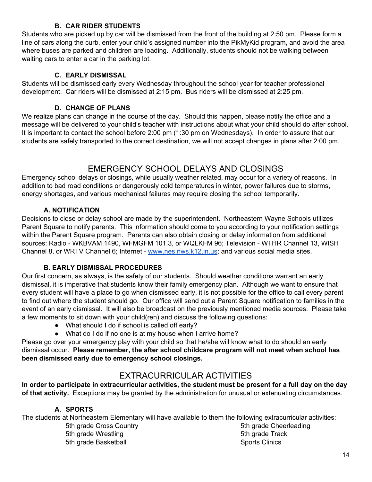#### **B. CAR RIDER STUDENTS**

Students who are picked up by car will be dismissed from the front of the building at 2:50 pm. Please form a line of cars along the curb, enter your child's assigned number into the PikMyKid program, and avoid the area where buses are parked and children are loading. Additionally, students should not be walking between waiting cars to enter a car in the parking lot.

#### **C. EARLY DISMISSAL**

Students will be dismissed early every Wednesday throughout the school year for teacher professional development. Car riders will be dismissed at 2:15 pm. Bus riders will be dismissed at 2:25 pm.

### **D. CHANGE OF PLANS**

We realize plans can change in the course of the day. Should this happen, please notify the office and a message will be delivered to your child's teacher with instructions about what your child should do after school. It is important to contact the school before 2:00 pm (1:30 pm on Wednesdays). In order to assure that our students are safely transported to the correct destination, we will not accept changes in plans after 2:00 pm.

### EMERGENCY SCHOOL DELAYS AND CLOSINGS

Emergency school delays or closings, while usually weather related, may occur for a variety of reasons. In addition to bad road conditions or dangerously cold temperatures in winter, power failures due to storms, energy shortages, and various mechanical failures may require closing the school temporarily.

#### **A. NOTIFICATION**

Decisions to close or delay school are made by the superintendent. Northeastern Wayne Schools utilizes Parent Square to notify parents. This information should come to you according to your notification settings within the Parent Square program. Parents can also obtain closing or delay information from additional sources: Radio - WKBVAM 1490, WFMGFM 101.3, or WQLKFM 96; Television - WTHR Channel 13, WISH Channel 8, or WRTV Channel 6; Internet - [www.nes.nws.k12.in.us;](http://www.nes.nws.k12.in.us/) and various social media sites.

### **B. EARLY DISMISSAL PROCEDURES**

Our first concern, as always, is the safety of our students. Should weather conditions warrant an early dismissal, it is imperative that students know their family emergency plan. Although we want to ensure that every student will have a place to go when dismissed early, it is not possible for the office to call every parent to find out where the student should go. Our office will send out a Parent Square notification to families in the event of an early dismissal. It will also be broadcast on the previously mentioned media sources. Please take a few moments to sit down with your child(ren) and discuss the following questions:

- What should I do if school is called off early?
- What do I do if no one is at my house when I arrive home?

Please go over your emergency play with your child so that he/she will know what to do should an early dismissal occur. **Please remember, the after school childcare program will not meet when school has been dismissed early due to emergency school closings.**

### EXTRACURRICULAR ACTIVITIES

In order to participate in extracurricular activities, the student must be present for a full day on the day **of that activity.** Exceptions may be granted by the administration for unusual or extenuating circumstances.

### **A. SPORTS**

The students at Northeastern Elementary will have available to them the following extracurricular activities:

5th grade Cross Country **5th grade Cheerleading** 5th grade Wrestling 5th grade Track 5th grade Basketball Sports Clinics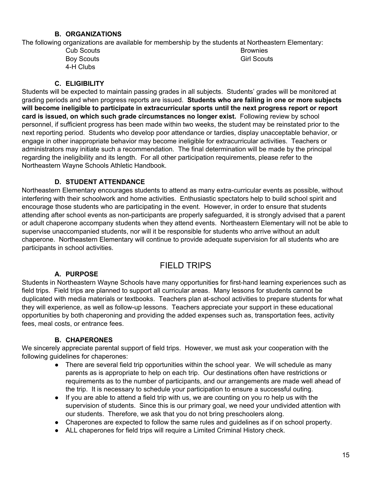#### **B. ORGANIZATIONS**

The following organizations are available for membership by the students at Northeastern Elementary:

**Cub Scouts Brownies** Boy Scouts Girl Scouts Girl Scouts Girl Scouts 4-H Clubs

### **C. ELIGIBILITY**

Students will be expected to maintain passing grades in all subjects. Students' grades will be monitored at grading periods and when progress reports are issued. **Students who are failing in one or more subjects will become ineligible to participate in extracurricular sports until the next progress report or report card is issued, on which such grade circumstances no longer exist.** Following review by school personnel, if sufficient progress has been made within two weeks, the student may be reinstated prior to the next reporting period. Students who develop poor attendance or tardies, display unacceptable behavior, or engage in other inappropriate behavior may become ineligible for extracurricular activities. Teachers or administrators may initiate such a recommendation. The final determination will be made by the principal regarding the ineligibility and its length. For all other participation requirements, please refer to the Northeastern Wayne Schools Athletic Handbook.

### **D. STUDENT ATTENDANCE**

Northeastern Elementary encourages students to attend as many extra-curricular events as possible, without interfering with their schoolwork and home activities. Enthusiastic spectators help to build school spirit and encourage those students who are participating in the event. However, in order to ensure that students attending after school events as non-participants are properly safeguarded, it is strongly advised that a parent or adult chaperone accompany students when they attend events. Northeastern Elementary will not be able to supervise unaccompanied students, nor will it be responsible for students who arrive without an adult chaperone. Northeastern Elementary will continue to provide adequate supervision for all students who are participants in school activities.

### FIELD TRIPS

### **A. PURPOSE**

Students in Northeastern Wayne Schools have many opportunities for first-hand learning experiences such as field trips. Field trips are planned to support all curricular areas. Many lessons for students cannot be duplicated with media materials or textbooks. Teachers plan at-school activities to prepare students for what they will experience, as well as follow-up lessons. Teachers appreciate your support in these educational opportunities by both chaperoning and providing the added expenses such as, transportation fees, activity fees, meal costs, or entrance fees.

### **B. CHAPERONES**

We sincerely appreciate parental support of field trips. However, we must ask your cooperation with the following guidelines for chaperones:

- There are several field trip opportunities within the school year. We will schedule as many parents as is appropriate to help on each trip. Our destinations often have restrictions or requirements as to the number of participants, and our arrangements are made well ahead of the trip. It is necessary to schedule your participation to ensure a successful outing.
- If you are able to attend a field trip with us, we are counting on you ro help us with the supervision of students. Since this is our primary goal, we need your undivided attention with our students. Therefore, we ask that you do not bring preschoolers along.
- Chaperones are expected to follow the same rules and guidelines as if on school property.
- ALL chaperones for field trips will require a Limited Criminal History check.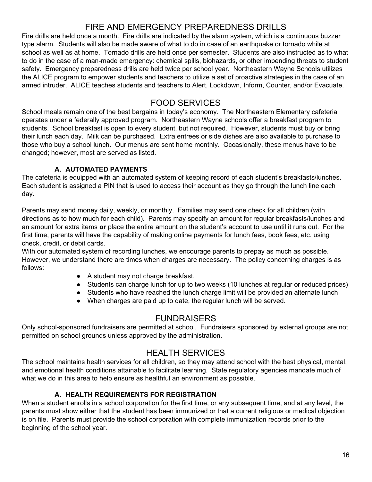## FIRE AND EMERGENCY PREPAREDNESS DRILLS

Fire drills are held once a month. Fire drills are indicated by the alarm system, which is a continuous buzzer type alarm. Students will also be made aware of what to do in case of an earthquake or tornado while at school as well as at home. Tornado drills are held once per semester. Students are also instructed as to what to do in the case of a man-made emergency: chemical spills, biohazards, or other impending threats to student safety. Emergency preparedness drills are held twice per school year. Northeastern Wayne Schools utilizes the ALICE program to empower students and teachers to utilize a set of proactive strategies in the case of an armed intruder. ALICE teaches students and teachers to Alert, Lockdown, Inform, Counter, and/or Evacuate.

### FOOD SERVICES

School meals remain one of the best bargains in today's economy. The Northeastern Elementary cafeteria operates under a federally approved program. Northeastern Wayne schools offer a breakfast program to students. School breakfast is open to every student, but not required. However, students must buy or bring their lunch each day. Milk can be purchased. Extra entrees or side dishes are also available to purchase to those who buy a school lunch. Our menus are sent home monthly. Occasionally, these menus have to be changed; however, most are served as listed.

### **A. AUTOMATED PAYMENTS**

The cafeteria is equipped with an automated system of keeping record of each student's breakfasts/lunches. Each student is assigned a PIN that is used to access their account as they go through the lunch line each day.

Parents may send money daily, weekly, or monthly. Families may send one check for all children (with directions as to how much for each child). Parents may specify an amount for regular breakfasts/lunches and an amount for extra items **or** place the entire amount on the student's account to use until it runs out. For the first time, parents will have the capability of making online payments for lunch fees, book fees, etc. using check, credit, or debit cards.

With our automated system of recording lunches, we encourage parents to prepay as much as possible. However, we understand there are times when charges are necessary. The policy concerning charges is as follows:

- A student may not charge breakfast.
- Students can charge lunch for up to two weeks (10 lunches at regular or reduced prices)
- Students who have reached the lunch charge limit will be provided an alternate lunch
- When charges are paid up to date, the regular lunch will be served.

## FUNDRAISERS

Only school-sponsored fundraisers are permitted at school. Fundraisers sponsored by external groups are not permitted on school grounds unless approved by the administration.

## HEALTH SERVICES

The school maintains health services for all children, so they may attend school with the best physical, mental, and emotional health conditions attainable to facilitate learning. State regulatory agencies mandate much of what we do in this area to help ensure as healthful an environment as possible.

### **A. HEALTH REQUIREMENTS FOR REGISTRATION**

When a student enrolls in a school corporation for the first time, or any subsequent time, and at any level, the parents must show either that the student has been immunized or that a current religious or medical objection is on file. Parents must provide the school corporation with complete immunization records prior to the beginning of the school year.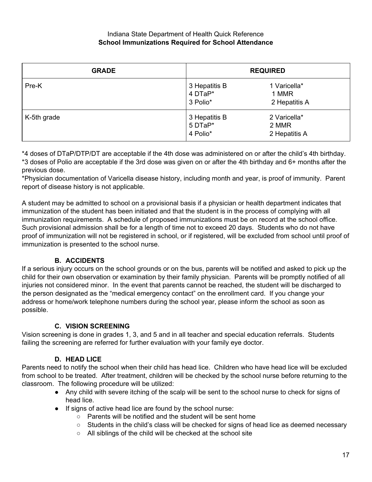#### Indiana State Department of Health Quick Reference **School Immunizations Required for School Attendance**

| <b>GRADE</b> | <b>REQUIRED</b>                                                                |
|--------------|--------------------------------------------------------------------------------|
| Pre-K        | 3 Hepatitis B<br>1 Varicella*<br>4 DTaP*<br>1 MMR<br>3 Polio*<br>2 Hepatitis A |
| K-5th grade  | 3 Hepatitis B<br>2 Varicella*<br>5 DTaP*<br>2 MMR<br>4 Polio*<br>2 Hepatitis A |

\*4 doses of DTaP/DTP/DT are acceptable if the 4th dose was administered on or after the child's 4th birthday. \*3 doses of Polio are acceptable if the 3rd dose was given on or after the 4th birthday and 6+ months after the previous dose.

\*Physician documentation of Varicella disease history, including month and year, is proof of immunity. Parent report of disease history is not applicable.

A student may be admitted to school on a provisional basis if a physician or health department indicates that immunization of the student has been initiated and that the student is in the process of complying with all immunization requirements. A schedule of proposed immunizations must be on record at the school office. Such provisional admission shall be for a length of time not to exceed 20 days. Students who do not have proof of immunization will not be registered in school, or if registered, will be excluded from school until proof of immunization is presented to the school nurse.

### **B. ACCIDENTS**

If a serious injury occurs on the school grounds or on the bus, parents will be notified and asked to pick up the child for their own observation or examination by their family physician. Parents will be promptly notified of all injuries not considered minor. In the event that parents cannot be reached, the student will be discharged to the person designated as the "medical emergency contact" on the enrollment card. If you change your address or home/work telephone numbers during the school year, please inform the school as soon as possible.

### **C. VISION SCREENING**

Vision screening is done in grades 1, 3, and 5 and in all teacher and special education referrals. Students failing the screening are referred for further evaluation with your family eye doctor.

### **D. HEAD LICE**

Parents need to notify the school when their child has head lice. Children who have head lice will be excluded from school to be treated. After treatment, children will be checked by the school nurse before returning to the classroom. The following procedure will be utilized:

- Any child with severe itching of the scalp will be sent to the school nurse to check for signs of head lice.
- If signs of active head lice are found by the school nurse:
	- Parents will be notified and the student will be sent home
	- Students in the child's class will be checked for signs of head lice as deemed necessary
	- All siblings of the child will be checked at the school site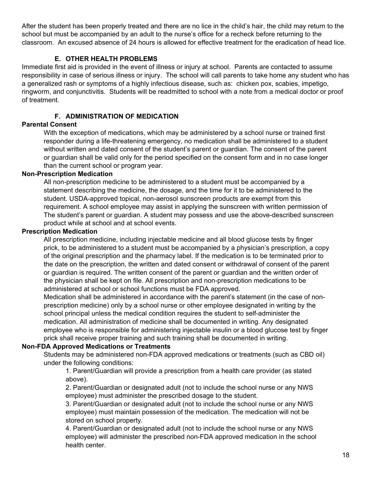After the student has been properly treated and there are no lice in the child's hair, the child may return to the school but must be accompanied by an adult to the nurse's office for a recheck before returning to the classroom. An excused absence of 24 hours is allowed for effective treatment for the eradication of head lice.

### **E. OTHER HEALTH PROBLEMS**

Immediate first aid is provided in the event of illness or injury at school. Parents are contacted to assume responsibility in case of serious illness or injury. The school will call parents to take home any student who has a generalized rash or symptoms of a highly infectious disease, such as: chicken pox, scabies, impetigo, ringworm, and conjunctivitis. Students will be readmitted to school with a note from a medical doctor or proof of treatment.

### **F. ADMINISTRATION OF MEDICATION**

### **Parental Consent**

With the exception of medications, which may be administered by a school nurse or trained first responder during a life-threatening emergency, no medication shall be administered to a student without written and dated consent of the student's parent or guardian. The consent of the parent or guardian shall be valid only for the period specified on the consent form and in no case longer than the current school or program year.

#### **Non-Prescription Medication**

All non-prescription medicine to be administered to a student must be accompanied by a statement describing the medicine, the dosage, and the time for it to be administered to the student. USDA-approved topical, non-aerosol sunscreen products are exempt from this requirement. A school employee may assist in applying the sunscreen with written permission of The student's parent or guardian. A student may possess and use the above-described sunscreen product while at school and at school events.

#### **Prescription Medication**

All prescription medicine, including injectable medicine and all blood glucose tests by finger prick, to be administered to a student must be accompanied by a physician's prescription, a copy of the original prescription and the pharmacy label. If the medication is to be terminated prior to the date on the prescription, the written and dated consent or withdrawal of consent of the parent or guardian is required. The written consent of the parent or guardian and the written order of the physician shall be kept on file. All prescription and non-prescription medications to be administered at school or school functions must be FDA approved.

Medication shall be administered in accordance with the parent's statement (in the case of nonprescription medicine) only by a school nurse or other employee designated in writing by the school principal unless the medical condition requires the student to self-administer the medication. All administration of medicine shall be documented in writing. Any designated employee who is responsible for administering injectable insulin or a blood glucose test by finger prick shall receive proper training and such training shall be documented in writing.

### **Non-FDA Approved Medications or Treatments**

Students may be administered non-FDA approved medications or treatments (such as CBD oil) under the following conditions:

1. Parent/Guardian will provide a prescription from a health care provider (as stated above).

2. Parent/Guardian or designated adult (not to include the school nurse or any NWS employee) must administer the prescribed dosage to the student.

3. Parent/Guardian or designated adult (not to include the school nurse or any NWS employee) must maintain possession of the medication. The medication will not be stored on school property.

4. Parent/Guardian or designated adult (not to include the school nurse or any NWS employee) will administer the prescribed non-FDA approved medication in the school health center.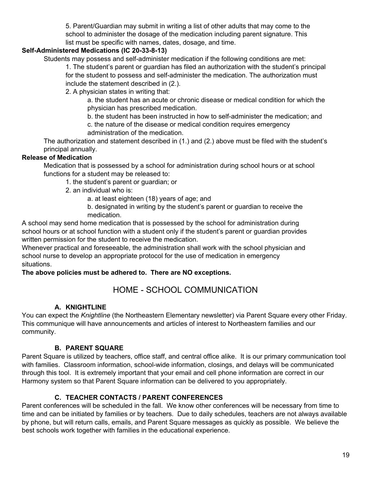5. Parent/Guardian may submit in writing a list of other adults that may come to the school to administer the dosage of the medication including parent signature. This list must be specific with names, dates, dosage, and time.

### **Self-Administered Medications (IC 20-33-8-13)**

Students may possess and self-administer medication if the following conditions are met:

1. The student's parent or guardian has filed an authorization with the student's principal for the student to possess and self-administer the medication. The authorization must include the statement described in (2.).

2. A physician states in writing that:

a. the student has an acute or chronic disease or medical condition for which the physician has prescribed medication.

b. the student has been instructed in how to self-administer the medication; and

c. the nature of the disease or medical condition requires emergency administration of the medication.

The authorization and statement described in (1.) and (2.) above must be filed with the student's principal annually.

### **Release of Medication**

Medication that is possessed by a school for administration during school hours or at school functions for a student may be released to:

1. the student's parent or guardian; or

2. an individual who is:

a. at least eighteen (18) years of age; and

b. designated in writing by the student's parent or guardian to receive the medication.

A school may send home medication that is possessed by the school for administration during school hours or at school function with a student only if the student's parent or quardian provides written permission for the student to receive the medication.

Whenever practical and foreseeable, the administration shall work with the school physician and school nurse to develop an appropriate protocol for the use of medication in emergency situations.

**The above policies must be adhered to. There are NO exceptions.**

### HOME - SCHOOL COMMUNICATION

### **A. KNIGHTLINE**

You can expect the *Knightline* (the Northeastern Elementary newsletter) via Parent Square every other Friday. This communique will have announcements and articles of interest to Northeastern families and our community.

### **B. PARENT SQUARE**

Parent Square is utilized by teachers, office staff, and central office alike. It is our primary communication tool with families. Classroom information, school-wide information, closings, and delays will be communicated through this tool. It is extremely important that your email and cell phone information are correct in our Harmony system so that Parent Square information can be delivered to you appropriately.

### **C. TEACHER CONTACTS / PARENT CONFERENCES**

Parent conferences will be scheduled in the fall. We know other conferences will be necessary from time to time and can be initiated by families or by teachers. Due to daily schedules, teachers are not always available by phone, but will return calls, emails, and Parent Square messages as quickly as possible. We believe the best schools work together with families in the educational experience.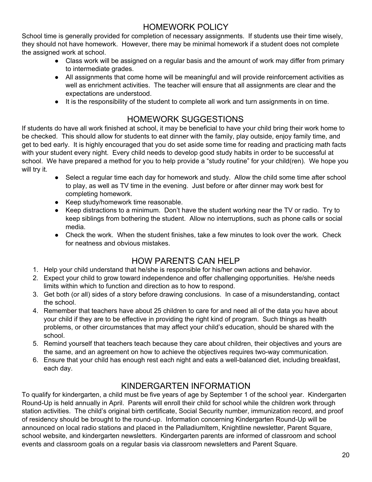## HOMEWORK POLICY

School time is generally provided for completion of necessary assignments. If students use their time wisely, they should not have homework. However, there may be minimal homework if a student does not complete the assigned work at school.

- Class work will be assigned on a regular basis and the amount of work may differ from primary to intermediate grades.
- All assignments that come home will be meaningful and will provide reinforcement activities as well as enrichment activities. The teacher will ensure that all assignments are clear and the expectations are understood.
- It is the responsibility of the student to complete all work and turn assignments in on time.

### HOMEWORK SUGGESTIONS

If students do have all work finished at school, it may be beneficial to have your child bring their work home to be checked. This should allow for students to eat dinner with the family, play outside, enjoy family time, and get to bed early. It is highly encouraged that you do set aside some time for reading and practicing math facts with your student every night. Every child needs to develop good study habits in order to be successful at school. We have prepared a method for you to help provide a "study routine" for your child(ren). We hope you will try it.

- Select a regular time each day for homework and study. Allow the child some time after school to play, as well as TV time in the evening. Just before or after dinner may work best for completing homework.
- Keep study/homework time reasonable.
- Keep distractions to a minimum. Don't have the student working near the TV or radio. Try to keep siblings from bothering the student. Allow no interruptions, such as phone calls or social media.
- Check the work. When the student finishes, take a few minutes to look over the work. Check for neatness and obvious mistakes.

## HOW PARENTS CAN HELP

- 1. Help your child understand that he/she is responsible for his/her own actions and behavior.
- 2. Expect your child to grow toward independence and offer challenging opportunities. He/she needs limits within which to function and direction as to how to respond.
- 3. Get both (or all) sides of a story before drawing conclusions. In case of a misunderstanding, contact the school.
- 4. Remember that teachers have about 25 children to care for and need all of the data you have about your child if they are to be effective in providing the right kind of program. Such things as health problems, or other circumstances that may affect your child's education, should be shared with the school.
- 5. Remind yourself that teachers teach because they care about children, their objectives and yours are the same, and an agreement on how to achieve the objectives requires two-way communication.
- 6. Ensure that your child has enough rest each night and eats a well-balanced diet, including breakfast, each day.

## KINDERGARTEN INFORMATION

To qualify for kindergarten, a child must be five years of age by September 1 of the school year. Kindergarten Round-Up is held annually in April. Parents will enroll their child for school while the children work through station activities. The child's original birth certificate, Social Security number, immunization record, and proof of residency should be brought to the round-up. Information concerning Kindergarten Round-Up will be announced on local radio stations and placed in the PalladiumItem, Knightline newsletter, Parent Square, school website, and kindergarten newsletters. Kindergarten parents are informed of classroom and school events and classroom goals on a regular basis via classroom newsletters and Parent Square.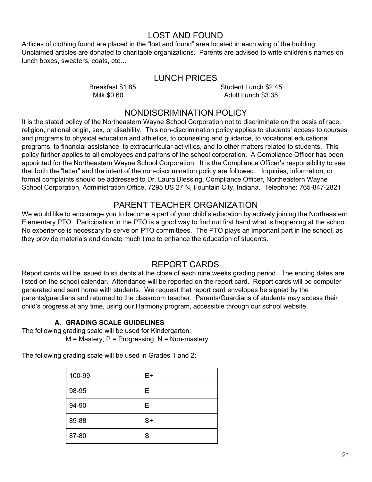### LOST AND FOUND

Articles of clothing found are placed in the "lost and found" area located in each wing of the building. Unclaimed articles are donated to charitable organizations. Parents are advised to write children's names on lunch boxes, sweaters, coats, etc…

LUNCH PRICES

Breakfast \$1.85 Student Lunch \$2.45 Milk \$0.60 Adult Lunch \$3.35

### NONDISCRIMINATION POLICY

It is the stated policy of the Northeastern Wayne School Corporation not to discriminate on the basis of race, religion, national origin, sex, or disability. This non-discrimination policy applies to students' access to courses and programs to physical education and athletics, to counseling and guidance, to vocational educational programs, to financial assistance, to extracurricular activities, and to other matters related to students. This policy further applies to all employees and patrons of the school corporation. A Compliance Officer has been appointed for the Northeastern Wayne School Corporation. It is the Compliance Officer's responsibility to see that both the "letter" and the intent of the non-discrimination policy are followed. Inquiries, information, or formal complaints should be addressed to Dr. Laura Blessing, Compliance Officer, Northeastern Wayne School Corporation, Administration Office, 7295 US 27 N, Fountain City, Indiana. Telephone: 765-847-2821

### PARENT TEACHER ORGANIZATION

We would like to encourage you to become a part of your child's education by actively joining the Northeastern Elementary PTO. Participation in the PTO is a good way to find out first hand what is happening at the school. No experience is necessary to serve on PTO committees. The PTO plays an important part in the school, as they provide materials and donate much time to enhance the education of students.

### REPORT CARDS

Report cards will be issued to students at the close of each nine weeks grading period. The ending dates are listed on the school calendar. Attendance will be reported on the report card. Report cards will be computer generated and sent home with students. We request that report card envelopes be signed by the parents/guardians and returned to the classroom teacher. Parents/Guardians of students may access their child's progress at any time, using our Harmony program, accessible through our school website.

### **A. GRADING SCALE GUIDELINES**

The following grading scale will be used for Kindergarten:  $M =$  Mastery,  $P =$  Progressing,  $N =$  Non-mastery

The following grading scale will be used in Grades 1 and 2:

| 100-99 | E+   |
|--------|------|
| 98-95  | Е    |
| 94-90  | E-   |
| 89-88  | $S+$ |
| 87-80  | S    |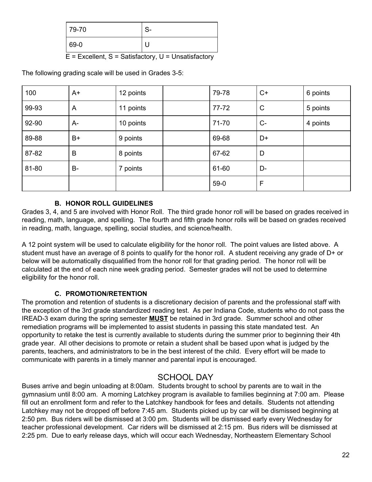| 79-70 | S- |
|-------|----|
| 69-0  |    |

 $E = Excellent$ ,  $S = Satisfactory$ ,  $U = Unsatisfactory$ 

The following grading scale will be used in Grades 3-5:

| 100   | $A+$  | 12 points | 79-78     | $C+$ | 6 points |
|-------|-------|-----------|-----------|------|----------|
| 99-93 | A     | 11 points | $77 - 72$ | C    | 5 points |
| 92-90 | $A -$ | 10 points | $71 - 70$ | $C-$ | 4 points |
| 89-88 | B+    | 9 points  | 69-68     | D+   |          |
| 87-82 | B     | 8 points  | 67-62     | D    |          |
| 81-80 | B-    | 7 points  | 61-60     | D-   |          |
|       |       |           | $59-0$    | F    |          |

#### **B. HONOR ROLL GUIDELINES**

Grades 3, 4, and 5 are involved with Honor Roll. The third grade honor roll will be based on grades received in reading, math, language, and spelling. The fourth and fifth grade honor rolls will be based on grades received in reading, math, language, spelling, social studies, and science/health.

A 12 point system will be used to calculate eligibility for the honor roll. The point values are listed above. A student must have an average of 8 points to qualify for the honor roll. A student receiving any grade of D+ or below will be automatically disqualified from the honor roll for that grading period. The honor roll will be calculated at the end of each nine week grading period. Semester grades will not be used to determine eligibility for the honor roll.

#### **C. PROMOTION/RETENTION**

The promotion and retention of students is a discretionary decision of parents and the professional staff with the exception of the 3rd grade standardized reading test. As per Indiana Code, students who do not pass the IREAD-3 exam during the spring semester **MUST** be retained in 3rd grade. Summer school and other remediation programs will be implemented to assist students in passing this state mandated test. An opportunity to retake the test is currently available to students during the summer prior to beginning their 4th grade year. All other decisions to promote or retain a student shall be based upon what is judged by the parents, teachers, and administrators to be in the best interest of the child. Every effort will be made to communicate with parents in a timely manner and parental input is encouraged.

### SCHOOL DAY

Buses arrive and begin unloading at 8:00am. Students brought to school by parents are to wait in the gymnasium until 8:00 am. A morning Latchkey program is available to families beginning at 7:00 am. Please fill out an enrollment form and refer to the Latchkey handbook for fees and details. Students not attending Latchkey may not be dropped off before 7:45 am. Students picked up by car will be dismissed beginning at 2:50 pm. Bus riders will be dismissed at 3:00 pm. Students will be dismissed early every Wednesday for teacher professional development. Car riders will be dismissed at 2:15 pm. Bus riders will be dismissed at 2:25 pm. Due to early release days, which will occur each Wednesday, Northeastern Elementary School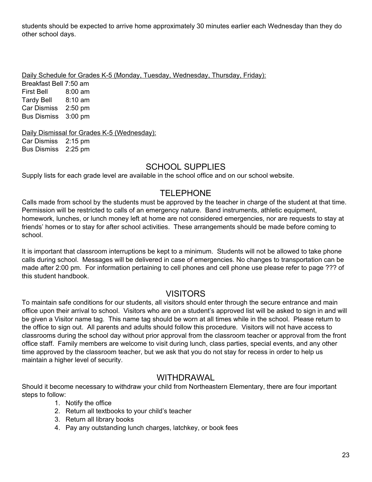students should be expected to arrive home approximately 30 minutes earlier each Wednesday than they do other school days.

Daily Schedule for Grades K-5 (Monday, Tuesday, Wednesday, Thursday, Friday):

Breakfast Bell 7:50 am First Bell 8:00 am Tardy Bell 8:10 am Car Dismiss 2:50 pm Bus Dismiss 3:00 pm

Daily Dismissal for Grades K-5 (Wednesday):

Car Dismiss 2:15 pm Bus Dismiss 2:25 pm

### SCHOOL SUPPLIES

Supply lists for each grade level are available in the school office and on our school website.

## TELEPHONE

Calls made from school by the students must be approved by the teacher in charge of the student at that time. Permission will be restricted to calls of an emergency nature. Band instruments, athletic equipment, homework, lunches, or lunch money left at home are not considered emergencies, nor are requests to stay at friends' homes or to stay for after school activities. These arrangements should be made before coming to school.

It is important that classroom interruptions be kept to a minimum. Students will not be allowed to take phone calls during school. Messages will be delivered in case of emergencies. No changes to transportation can be made after 2:00 pm. For information pertaining to cell phones and cell phone use please refer to page ??? of this student handbook.

### VISITORS

To maintain safe conditions for our students, all visitors should enter through the secure entrance and main office upon their arrival to school. Visitors who are on a student's approved list will be asked to sign in and will be given a Visitor name tag. This name tag should be worn at all times while in the school. Please return to the office to sign out. All parents and adults should follow this procedure. Visitors will not have access to classrooms during the school day without prior approval from the classroom teacher or approval from the front office staff. Family members are welcome to visit during lunch, class parties, special events, and any other time approved by the classroom teacher, but we ask that you do not stay for recess in order to help us maintain a higher level of security.

### WITHDRAWAL

Should it become necessary to withdraw your child from Northeastern Elementary, there are four important steps to follow:

- 1. Notify the office
- 2. Return all textbooks to your child's teacher
- 3. Return all library books
- 4. Pay any outstanding lunch charges, latchkey, or book fees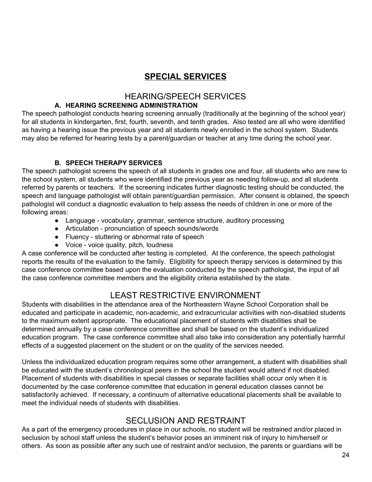# **SPECIAL SERVICES**

### HEARING/SPEECH SERVICES

### **A. HEARING SCREENING ADMINISTRATION**

The speech pathologist conducts hearing screening annually (traditionally at the beginning of the school year) for all students in kindergarten, first, fourth, seventh, and tenth grades. Also tested are all who were identified as having a hearing issue the previous year and all students newly enrolled in the school system. Students may also be referred for hearing tests by a parent/guardian or teacher at any time during the school year.

### **B. SPEECH THERAPY SERVICES**

The speech pathologist screens the speech of all students in grades one and four, all students who are new to the school system, all students who were identified the previous year as needing follow-up, and all students referred by parents or teachers. If the screening indicates further diagnostic testing should be conducted, the speech and language pathologist will obtain parent/guardian permission. After consent is obtained, the speech pathologist will conduct a diagnostic evaluation to help assess the needs of children in one or more of the following areas:

- Language vocabulary, grammar, sentence structure, auditory processing
- Articulation pronunciation of speech sounds/words
- Fluency stuttering or abnormal rate of speech
- Voice voice quality, pitch, loudness

A case conference will be conducted after testing is completed. At the conference, the speech pathologist reports the results of the evaluation to the family. Eligibility for speech therapy services is determined by this case conference committee based upon the evaluation conducted by the speech pathologist, the input of all the case conference committee members and the eligibility criteria established by the state.

# LEAST RESTRICTIVE ENVIRONMENT

Students with disabilities in the attendance area of the Northeastern Wayne School Corporation shall be educated and participate in academic, non-academic, and extracurricular activities with non-disabled students to the maximum extent appropriate. The educational placement of students with disabilities shall be determined annually by a case conference committee and shall be based on the student's individualized education program. The case conference committee shall also take into consideration any potentially harmful effects of a suggested placement on the student or on the quality of the services needed.

Unless the individualized education program requires some other arrangement, a student with disabilities shall be educated with the student's chronological peers in the school the student would attend if not disabled. Placement of students with disabilities in special classes or separate facilities shall occur only when it is documented by the case conference committee that education in general education classes cannot be satisfactorily achieved. If necessary, a continuum of alternative educational placements shall be available to meet the individual needs of students with disabilities.

## SECLUSION AND RESTRAINT

As a part of the emergency procedures in place in our schools, no student will be restrained and/or placed in seclusion by school staff unless the student's behavior poses an imminent risk of injury to him/herself or others. As soon as possible after any such use of restraint and/or seclusion, the parents or guardians will be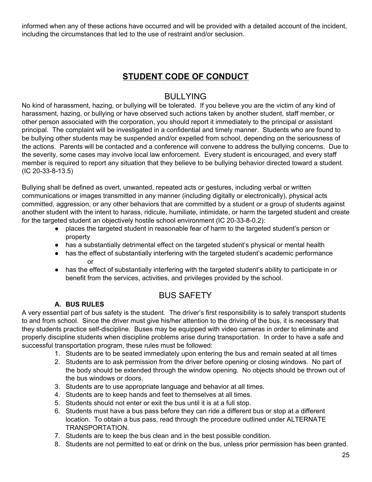informed when any of these actions have occurred and will be provided with a detailed account of the incident, including the circumstances that led to the use of restraint and/or seclusion.

## **STUDENT CODE OF CONDUCT**

### BULLYING

No kind of harassment, hazing, or bullying will be tolerated. If you believe you are the victim of any kind of harassment, hazing, or bullying or have observed such actions taken by another student, staff member, or other person associated with the corporation, you should report it immediately to the principal or assistant principal. The complaint will be investigated in a confidential and timely manner. Students who are found to be bullying other students may be suspended and/or expelled from school, depending on the seriousness of the actions. Parents will be contacted and a conference will convene to address the bullying concerns. Due to the severity, some cases may involve local law enforcement. Every student is encouraged, and every staff member is required to report any situation that they believe to be bullying behavior directed toward a student. (IC 20-33-8-13.5)

Bullying shall be defined as overt, unwanted, repeated acts or gestures, including verbal or written communications or images transmitted in any manner (including digitally or electronically), physical acts committed, aggression, or any other behaviors that are committed by a student or a group of students against another student with the intent to harass, ridicule, humiliate, intimidate, or harm the targeted student and create for the targeted student an objectively hostile school environment (IC 20-33-8-0.2):

- places the targeted student in reasonable fear of harm to the targeted student's person or property
- has a substantially detrimental effect on the targeted student's physical or mental health
- has the effect of substantially interfering with the targeted student's academic performance or
- has the effect of substantially interfering with the targeted student's ability to participate in or benefit from the services, activities, and privileges provided by the school.

## BUS SAFETY

### **A. BUS RULES**

A very essential part of bus safety is the student. The driver's first responsibility is to safely transport students to and from school. Since the driver must give his/her attention to the driving of the bus, it is necessary that they students practice self-discipline. Buses may be equipped with video cameras in order to eliminate and properly discipline students when discipline problems arise during transportation. In order to have a safe and successful transportation program, these rules must be followed:

- 1. Students are to be seated immediately upon entering the bus and remain seated at all times
- 2. Students are to ask permission from the driver before opening or closing windows. No part of the body should be extended through the window opening. No objects should be thrown out of the bus windows or doors.
- 3. Students are to use appropriate language and behavior at all times.
- 4. Students are to keep hands and feet to themselves at all times.
- 5. Students should not enter or exit the bus until it is at a full stop.
- 6. Students must have a bus pass before they can ride a different bus or stop at a different location. To obtain a bus pass, read through the procedure outlined under ALTERNATE TRANSPORTATION.
- 7. Students are to keep the bus clean and in the best possible condition.
- 8. Students are not permitted to eat or drink on the bus, unless prior permission has been granted.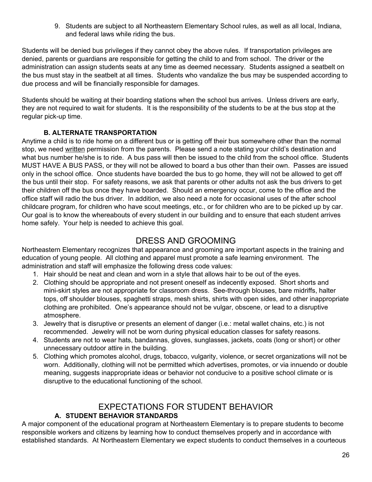9. Students are subject to all Northeastern Elementary School rules, as well as all local, Indiana, and federal laws while riding the bus.

Students will be denied bus privileges if they cannot obey the above rules. If transportation privileges are denied, parents or guardians are responsible for getting the child to and from school. The driver or the administration can assign students seats at any time as deemed necessary. Students assigned a seatbelt on the bus must stay in the seatbelt at all times. Students who vandalize the bus may be suspended according to due process and will be financially responsible for damages.

Students should be waiting at their boarding stations when the school bus arrives. Unless drivers are early, they are not required to wait for students. It is the responsibility of the students to be at the bus stop at the regular pick-up time.

### **B. ALTERNATE TRANSPORTATION**

Anytime a child is to ride home on a different bus or is getting off their bus somewhere other than the normal stop, we need written permission from the parents. Please send a note stating your child's destination and what bus number he/she is to ride. A bus pass will then be issued to the child from the school office. Students MUST HAVE A BUS PASS, or they will not be allowed to board a bus other than their own. Passes are issued only in the school office. Once students have boarded the bus to go home, they will not be allowed to get off the bus until their stop. For safety reasons, we ask that parents or other adults not ask the bus drivers to get their children off the bus once they have boarded. Should an emergency occur, come to the office and the office staff will radio the bus driver. In addition, we also need a note for occasional uses of the after school childcare program, for children who have scout meetings, etc., or for children who are to be picked up by car. Our goal is to know the whereabouts of every student in our building and to ensure that each student arrives home safely. Your help is needed to achieve this goal.

### DRESS AND GROOMING

Northeastern Elementary recognizes that appearance and grooming are important aspects in the training and education of young people. All clothing and apparel must promote a safe learning environment. The administration and staff will emphasize the following dress code values:

- 1. Hair should be neat and clean and worn in a style that allows hair to be out of the eyes.
- 2. Clothing should be appropriate and not present oneself as indecently exposed. Short shorts and mini-skirt styles are not appropriate for classroom dress. See-through blouses, bare midriffs, halter tops, off shoulder blouses, spaghetti straps, mesh shirts, shirts with open sides, and other inappropriate clothing are prohibited. One's appearance should not be vulgar, obscene, or lead to a disruptive atmosphere.
- 3. Jewelry that is disruptive or presents an element of danger (i.e.: metal wallet chains, etc.) is not recommended. Jewelry will not be worn during physical education classes for safety reasons.
- 4. Students are not to wear hats, bandannas, gloves, sunglasses, jackets, coats (long or short) or other unnecessary outdoor attire in the building.
- 5. Clothing which promotes alcohol, drugs, tobacco, vulgarity, violence, or secret organizations will not be worn. Additionally, clothing will not be permitted which advertises, promotes, or via innuendo or double meaning, suggests inappropriate ideas or behavior not conducive to a positive school climate or is disruptive to the educational functioning of the school.

# EXPECTATIONS FOR STUDENT BEHAVIOR

### **A. STUDENT BEHAVIOR STANDARDS**

A major component of the educational program at Northeastern Elementary is to prepare students to become responsible workers and citizens by learning how to conduct themselves properly and in accordance with established standards. At Northeastern Elementary we expect students to conduct themselves in a courteous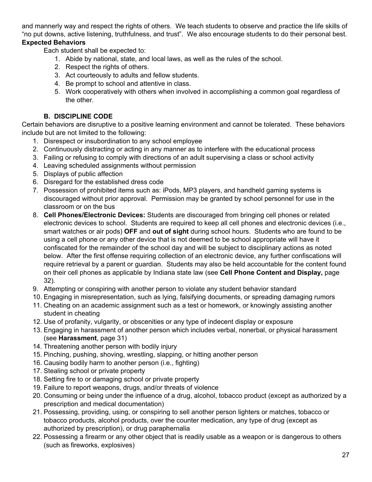and mannerly way and respect the rights of others. We teach students to observe and practice the life skills of "no put downs, active listening, truthfulness, and trust". We also encourage students to do their personal best. **Expected Behaviors**

Each student shall be expected to:

- 1. Abide by national, state, and local laws, as well as the rules of the school.
- 2. Respect the rights of others.
- 3. Act courteously to adults and fellow students.
- 4. Be prompt to school and attentive in class.
- 5. Work cooperatively with others when involved in accomplishing a common goal regardless of the other.

### **B. DISCIPLINE CODE**

Certain behaviors are disruptive to a positive learning environment and cannot be tolerated. These behaviors include but are not limited to the following:

- 1. Disrespect or insubordination to any school employee
- 2. Continuously distracting or acting in any manner as to interfere with the educational process
- 3. Failing or refusing to comply with directions of an adult supervising a class or school activity
- 4. Leaving scheduled assignments without permission
- 5. Displays of public affection
- 6. Disregard for the established dress code
- 7. Possession of prohibited items such as: iPods, MP3 players, and handheld gaming systems is discouraged without prior approval. Permission may be granted by school personnel for use in the classroom or on the bus
- 8. **Cell Phones/Electronic Devices:** Students are discouraged from bringing cell phones or related electronic devices to school. Students are required to keep all cell phones and electronic devices (i.e., smart watches or air pods) **OFF** and **out of sight** during school hours. Students who are found to be using a cell phone or any other device that is not deemed to be school appropriate will have it confiscated for the remainder of the school day and will be subject to disciplinary actions as noted below. After the first offense requiring collection of an electronic device, any further confiscations will require retrieval by a parent or guardian. Students may also be held accountable for the content found on their cell phones as applicable by Indiana state law (see **Cell Phone Content and Display,** page 32).
- 9. Attempting or conspiring with another person to violate any student behavior standard
- 10. Engaging in misrepresentation, such as lying, falsifying documents, or spreading damaging rumors
- 11. Cheating on an academic assignment such as a test or homework, or knowingly assisting another student in cheating
- 12. Use of profanity, vulgarity, or obscenities or any type of indecent display or exposure
- 13. Engaging in harassment of another person which includes verbal, nonerbal, or physical harassment (see **Harassment**, page 31)
- 14. Threatening another person with bodily injury
- 15. Pinching, pushing, shoving, wrestling, slapping, or hitting another person
- 16. Causing bodily harm to another person (i.e., fighting)
- 17. Stealing school or private property
- 18. Setting fire to or damaging school or private property
- 19. Failure to report weapons, drugs, and/or threats of violence
- 20. Consuming or being under the influence of a drug, alcohol, tobacco product (except as authorized by a prescription and medical documentation)
- 21. Possessing, providing, using, or conspiring to sell another person lighters or matches, tobacco or tobacco products, alcohol products, over the counter medication, any type of drug (except as authorized by prescription), or drug paraphernalia
- 22. Possessing a firearm or any other object that is readily usable as a weapon or is dangerous to others (such as fireworks, explosives)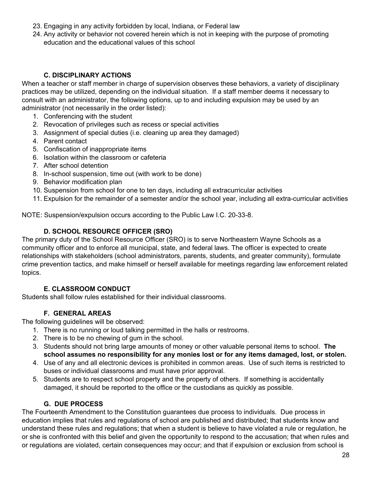- 23. Engaging in any activity forbidden by local, Indiana, or Federal law
- 24. Any activity or behavior not covered herein which is not in keeping with the purpose of promoting education and the educational values of this school

### **C. DISCIPLINARY ACTIONS**

When a teacher or staff member in charge of supervision observes these behaviors, a variety of disciplinary practices may be utilized, depending on the individual situation. If a staff member deems it necessary to consult with an administrator, the following options, up to and including expulsion may be used by an administrator (not necessarily in the order listed):

- 1. Conferencing with the student
- 2. Revocation of privileges such as recess or special activities
- 3. Assignment of special duties (i.e. cleaning up area they damaged)
- 4. Parent contact
- 5. Confiscation of inappropriate items
- 6. Isolation within the classroom or cafeteria
- 7. After school detention
- 8. In-school suspension, time out (with work to be done)
- 9. Behavior modification plan
- 10. Suspension from school for one to ten days, including all extracurricular activities
- 11. Expulsion for the remainder of a semester and/or the school year, including all extra-curricular activities

NOTE: Suspension/expulsion occurs according to the Public Law I.C. 20-33-8.

#### **D. SCHOOL RESOURCE OFFICER (SRO)**

The primary duty of the School Resource Officer (SRO) is to serve Northeastern Wayne Schools as a community officer and to enforce all municipal, state, and federal laws. The officer is expected to create relationships with stakeholders (school administrators, parents, students, and greater community), formulate crime prevention tactics, and make himself or herself available for meetings regarding law enforcement related topics.

### **E. CLASSROOM CONDUCT**

Students shall follow rules established for their individual classrooms.

### **F. GENERAL AREAS**

The following guidelines will be observed:

- 1. There is no running or loud talking permitted in the halls or restrooms.
- 2. There is to be no chewing of gum in the school.
- 3. Students should not bring large amounts of money or other valuable personal items to school. **The school assumes no responsibility for any monies lost or for any items damaged, lost, or stolen.**
- 4. Use of any and all electronic devices is prohibited in common areas. Use of such items is restricted to buses or individual classrooms and must have prior approval.
- 5. Students are to respect school property and the property of others. If something is accidentally damaged, it should be reported to the office or the custodians as quickly as possible.

### **G. DUE PROCESS**

The Fourteenth Amendment to the Constitution guarantees due process to individuals. Due process in education implies that rules and regulations of school are published and distributed; that students know and understand these rules and regulations; that when a student is believe to have violated a rule or regulation, he or she is confronted with this belief and given the opportunity to respond to the accusation; that when rules and or regulations are violated, certain consequences may occur; and that if expulsion or exclusion from school is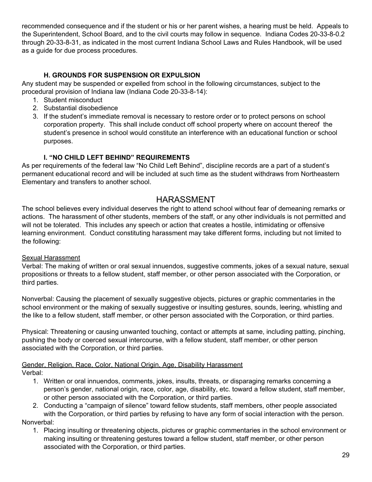recommended consequence and if the student or his or her parent wishes, a hearing must be held. Appeals to the Superintendent, School Board, and to the civil courts may follow in sequence. Indiana Codes 20-33-8-0.2 through 20-33-8-31, as indicated in the most current Indiana School Laws and Rules Handbook, will be used as a guide for due process procedures.

### **H. GROUNDS FOR SUSPENSION OR EXPULSION**

Any student may be suspended or expelled from school in the following circumstances, subject to the procedural provision of Indiana law (Indiana Code 20-33-8-14):

- 1. Student misconduct
- 2. Substantial disobedience
- 3. If the student's immediate removal is necessary to restore order or to protect persons on school corporation property. This shall include conduct off school property where on account thereof the student's presence in school would constitute an interference with an educational function or school purposes.

### **I. "NO CHILD LEFT BEHIND" REQUIREMENTS**

As per requirements of the federal law "No Child Left Behind", discipline records are a part of a student's permanent educational record and will be included at such time as the student withdraws from Northeastern Elementary and transfers to another school.

### HARASSMENT

The school believes every individual deserves the right to attend school without fear of demeaning remarks or actions. The harassment of other students, members of the staff, or any other individuals is not permitted and will not be tolerated. This includes any speech or action that creates a hostile, intimidating or offensive learning environment. Conduct constituting harassment may take different forms, including but not limited to the following:

### **Sexual Harassment**

Verbal: The making of written or oral sexual innuendos, suggestive comments, jokes of a sexual nature, sexual propositions or threats to a fellow student, staff member, or other person associated with the Corporation, or third parties.

Nonverbal: Causing the placement of sexually suggestive objects, pictures or graphic commentaries in the school environment or the making of sexually suggestive or insulting gestures, sounds, leering, whistling and the like to a fellow student, staff member, or other person associated with the Corporation, or third parties.

Physical: Threatening or causing unwanted touching, contact or attempts at same, including patting, pinching, pushing the body or coerced sexual intercourse, with a fellow student, staff member, or other person associated with the Corporation, or third parties.

## Gender, Religion, Race, Color, National Origin, Age, Disability Harassment

Verbal:

- 1. Written or oral innuendos, comments, jokes, insults, threats, or disparaging remarks concerning a person's gender, national origin, race, color, age, disability, etc. toward a fellow student, staff member, or other person associated with the Corporation, or third parties.
- 2. Conducting a "campaign of silence" toward fellow students, staff members, other people associated with the Corporation, or third parties by refusing to have any form of social interaction with the person.

Nonverbal:

1. Placing insulting or threatening objects, pictures or graphic commentaries in the school environment or making insulting or threatening gestures toward a fellow student, staff member, or other person associated with the Corporation, or third parties.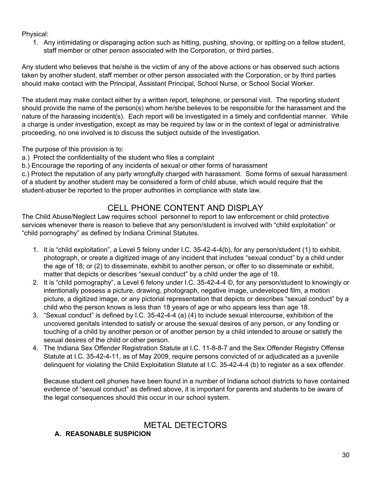Physical:

1. Any intimidating or disparaging action such as hitting, pushing, shoving, or spitting on a fellow student, staff member or other person associated with the Corporation, or third parties.

Any student who believes that he/she is the victim of any of the above actions or has observed such actions taken by another student, staff member or other person associated with the Corporation, or by third parties should make contact with the Principal, Assistant Principal, School Nurse, or School Social Worker.

The student may make contact either by a written report, telephone, or personal visit. The reporting student should provide the name of the person(s) whom he/she believes to be responsible for the harassment and the nature of the harassing incident(s). Each report will be investigated in a timely and confidential manner. While a charge is under investigation, except as may be required by law or in the context of legal or administrative proceeding, no one involved is to discuss the subject outside of the investigation.

The purpose of this provision is to:

a.) Protect the confidentiality of the student who files a complaint

b.) Encourage the reporting of any incidents of sexual or other forms of harassment

c.) Protect the reputation of any party wrongfully charged with harassment. Some forms of sexual harassment of a student by another student may be considered a form of child abuse, which would require that the student-abuser be reported to the proper authorities in compliance with state law.

# CELL PHONE CONTENT AND DISPLAY

The Child Abuse/Neglect Law requires school personnel to report to law enforcement or child protective services whenever there is reason to believe that any person/student is involved with "child exploitation" or "child pornography" as defined by Indiana Criminal Statutes.

- 1. It is "child exploitation", a Level 5 felony under I.C. 35-42-4-4(b), for any person/student (1) to exhibit, photograph, or create a digitized image of any incident that includes "sexual conduct" by a child under the age of 18; or (2) to disseminate, exhibit to another person, or offer to so disseminate or exhibit, matter that depicts or describes "sexual conduct" by a child under the age of 18.
- 2. It is "child pornography", a Level 6 felony under I.C. 35-42-4-4 ©, for any person/student to knowingly or intentionally possess a picture, drawing, photograph, negative image, undeveloped film, a motion picture, a digitized image, or any pictorial representation that depicts or describes "sexual conduct" by a child who the person knows is less than 18 years of age or who appears less than age 18.
- 3. "Sexual conduct" is defined by I.C. 35-42-4-4 (a) (4) to include sexual intercourse, exhibition of the uncovered genitals intended to satisfy or arouse the sexual desires of any person, or any fondling or touching of a child by another person or of another person by a child intended to arouse or satisfy the sexual desires of the child or other person.
- 4. The Indiana Sex Offender Registration Statute at I.C. 11-8-8-7 and the Sex Offender Registry Offense Statute at I.C. 35-42-4-11, as of May 2009, require persons convicted of or adjudicated as a juvenile delinquent for violating the Child Exploitation Statute at I.C. 35-42-4-4 (b) to register as a sex offender.

Because student cell phones have been found in a number of Indiana school districts to have contained evidence of "sexual conduct" as defined above, it is important for parents and students to be aware of the legal consequences should this occur in our school system.

# METAL DETECTORS

### **A. REASONABLE SUSPICION**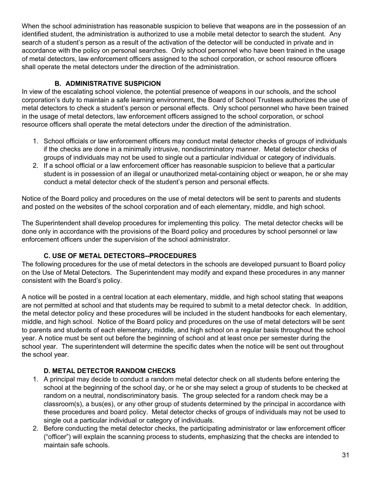When the school administration has reasonable suspicion to believe that weapons are in the possession of an identified student, the administration is authorized to use a mobile metal detector to search the student. Any search of a student's person as a result of the activation of the detector will be conducted in private and in accordance with the policy on personal searches. Only school personnel who have been trained in the usage of metal detectors, law enforcement officers assigned to the school corporation, or school resource officers shall operate the metal detectors under the direction of the administration.

### **B. ADMINISTRATIVE SUSPICION**

In view of the escalating school violence, the potential presence of weapons in our schools, and the school corporation's duty to maintain a safe learning environment, the Board of School Trustees authorizes the use of metal detectors to check a student's person or personal effects. Only school personnel who have been trained in the usage of metal detectors, law enforcement officers assigned to the school corporation, or school resource officers shall operate the metal detectors under the direction of the administration.

- 1. School officials or law enforcement officers may conduct metal detector checks of groups of individuals if the checks are done in a minimally intrusive, nondiscriminatory manner. Metal detector checks of groups of individuals may not be used to single out a particular individual or category of individuals.
- 2. If a school official or a law enforcement officer has reasonable suspicion to believe that a particular student is in possession of an illegal or unauthorized metal-containing object or weapon, he or she may conduct a metal detector check of the student's person and personal effects.

Notice of the Board policy and procedures on the use of metal detectors will be sent to parents and students and posted on the websites of the school corporation and of each elementary, middle, and high school.

The Superintendent shall develop procedures for implementing this policy. The metal detector checks will be done only in accordance with the provisions of the Board policy and procedures by school personnel or law enforcement officers under the supervision of the school administrator.

### **C. USE OF METAL DETECTORS--PROCEDURES**

The following procedures for the use of metal detectors in the schools are developed pursuant to Board policy on the Use of Metal Detectors. The Superintendent may modify and expand these procedures in any manner consistent with the Board's policy.

A notice will be posted in a central location at each elementary, middle, and high school stating that weapons are not permitted at school and that students may be required to submit to a metal detector check. In addition, the metal detector policy and these procedures will be included in the student handbooks for each elementary, middle, and high school. Notice of the Board policy and procedures on the use of metal detectors will be sent to parents and students of each elementary, middle, and high school on a regular basis throughout the school year. A notice must be sent out before the beginning of school and at least once per semester during the school year. The superintendent will determine the specific dates when the notice will be sent out throughout the school year.

### **D. METAL DETECTOR RANDOM CHECKS**

- 1. A principal may decide to conduct a random metal detector check on all students before entering the school at the beginning of the school day, or he or she may select a group of students to be checked at random on a neutral, nondiscriminatory basis. The group selected for a random check may be a classroom(s), a bus(es), or any other group of students determined by the principal in accordance with these procedures and board policy. Metal detector checks of groups of individuals may not be used to single out a particular individual or category of individuals.
- 2. Before conducting the metal detector checks, the participating administrator or law enforcement officer ("officer") will explain the scanning process to students, emphasizing that the checks are intended to maintain safe schools.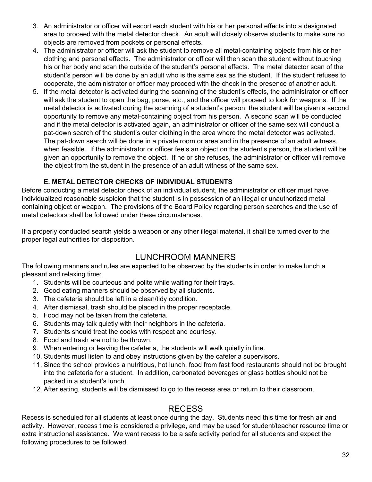- 3. An administrator or officer will escort each student with his or her personal effects into a designated area to proceed with the metal detector check. An adult will closely observe students to make sure no objects are removed from pockets or personal effects.
- 4. The administrator or officer will ask the student to remove all metal-containing objects from his or her clothing and personal effects. The administrator or officer will then scan the student without touching his or her body and scan the outside of the student's personal effects. The metal detector scan of the student's person will be done by an adult who is the same sex as the student. If the student refuses to cooperate, the administrator or officer may proceed with the check in the presence of another adult.
- 5. If the metal detector is activated during the scanning of the student's effects, the administrator or officer will ask the student to open the bag, purse, etc., and the officer will proceed to look for weapons. If the metal detector is activated during the scanning of a student's person, the student will be given a second opportunity to remove any metal-containing object from his person. A second scan will be conducted and if the metal detector is activated again, an administrator or officer of the same sex will conduct a pat-down search of the student's outer clothing in the area where the metal detector was activated. The pat-down search will be done in a private room or area and in the presence of an adult witness, when feasible. If the administrator or officer feels an object on the student's person, the student will be given an opportunity to remove the object. If he or she refuses, the administrator or officer will remove the object from the student in the presence of an adult witness of the same sex.

### **E. METAL DETECTOR CHECKS OF INDIVIDUAL STUDENTS**

Before conducting a metal detector check of an individual student, the administrator or officer must have individualized reasonable suspicion that the student is in possession of an illegal or unauthorized metal containing object or weapon. The provisions of the Board Policy regarding person searches and the use of metal detectors shall be followed under these circumstances.

If a properly conducted search yields a weapon or any other illegal material, it shall be turned over to the proper legal authorities for disposition.

### LUNCHROOM MANNERS

The following manners and rules are expected to be observed by the students in order to make lunch a pleasant and relaxing time:

- 1. Students will be courteous and polite while waiting for their trays.
- 2. Good eating manners should be observed by all students.
- 3. The cafeteria should be left in a clean/tidy condition.
- 4. After dismissal, trash should be placed in the proper receptacle.
- 5. Food may not be taken from the cafeteria.
- 6. Students may talk quietly with their neighbors in the cafeteria.
- 7. Students should treat the cooks with respect and courtesy.
- 8. Food and trash are not to be thrown.
- 9. When entering or leaving the cafeteria, the students will walk quietly in line.
- 10. Students must listen to and obey instructions given by the cafeteria supervisors.
- 11. Since the school provides a nutritious, hot lunch, food from fast food restaurants should not be brought into the cafeteria for a student. In addition, carbonated beverages or glass bottles should not be packed in a student's lunch.
- 12. After eating, students will be dismissed to go to the recess area or return to their classroom.

### RECESS

Recess is scheduled for all students at least once during the day. Students need this time for fresh air and activity. However, recess time is considered a privilege, and may be used for student/teacher resource time or extra instructional assistance. We want recess to be a safe activity period for all students and expect the following procedures to be followed.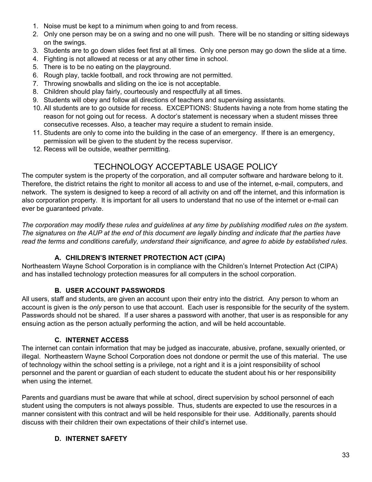- 1. Noise must be kept to a minimum when going to and from recess.
- 2. Only one person may be on a swing and no one will push. There will be no standing or sitting sideways on the swings.
- 3. Students are to go down slides feet first at all times. Only one person may go down the slide at a time.
- 4. Fighting is not allowed at recess or at any other time in school.
- 5. There is to be no eating on the playground.
- 6. Rough play, tackle football, and rock throwing are not permitted.
- 7. Throwing snowballs and sliding on the ice is not acceptable.
- 8. Children should play fairly, courteously and respectfully at all times.
- 9. Students will obey and follow all directions of teachers and supervising assistants.
- 10. All students are to go outside for recess. EXCEPTIONS: Students having a note from home stating the reason for not going out for recess. A doctor's statement is necessary when a student misses three consecutive recesses. Also, a teacher may require a student to remain inside.
- 11. Students are only to come into the building in the case of an emergency. If there is an emergency, permission will be given to the student by the recess supervisor.
- 12. Recess will be outside, weather permitting.

# TECHNOLOGY ACCEPTABLE USAGE POLICY

The computer system is the property of the corporation, and all computer software and hardware belong to it. Therefore, the district retains the right to monitor all access to and use of the internet, e-mail, computers, and network. The system is designed to keep a record of all activity on and off the internet, and this information is also corporation property. It is important for all users to understand that no use of the internet or e-mail can ever be guaranteed private.

The corporation may modify these rules and quidelines at any time by publishing modified rules on the system. The signatures on the AUP at the end of this document are legally binding and indicate that the parties have *read the terms and conditions carefully, understand their significance, and agree to abide by established rules.*

### **A. CHILDREN'S INTERNET PROTECTION ACT (CIPA)**

Northeastern Wayne School Corporation is in compliance with the Children's Internet Protection Act (CIPA) and has installed technology protection measures for all computers in the school corporation.

### **B. USER ACCOUNT PASSWORDS**

All users, staff and students, are given an account upon their entry into the district. Any person to whom an account is given is the *only* person to use that account. Each user is responsible for the security of the system. Passwords should not be shared. If a user shares a password with another, that user is as responsible for any ensuing action as the person actually performing the action, and will be held accountable.

### **C. INTERNET ACCESS**

The internet can contain information that may be judged as inaccurate, abusive, profane, sexually oriented, or illegal. Northeastern Wayne School Corporation does not dondone or permit the use of this material. The use of technology within the school setting is a privilege, not a right and it is a joint responsibility of school personnel and the parent or guardian of each student to educate the student about his or her responsibility when using the internet.

Parents and guardians must be aware that while at school, direct supervision by school personnel of each student using the computers is not always possible. Thus, students are expected to use the resources in a manner consistent with this contract and will be held responsible for their use. Additionally, parents should discuss with their children their own expectations of their child's internet use.

### **D. INTERNET SAFETY**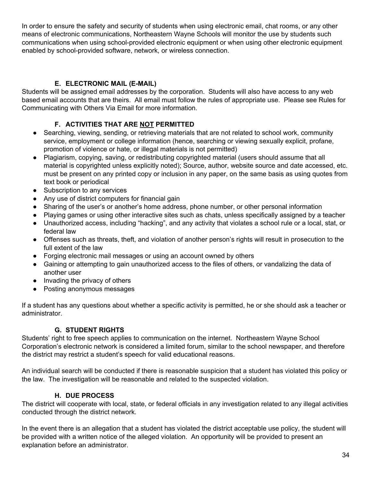In order to ensure the safety and security of students when using electronic email, chat rooms, or any other means of electronic communications, Northeastern Wayne Schools will monitor the use by students such communications when using school-provided electronic equipment or when using other electronic equipment enabled by school-provided software, network, or wireless connection.

### **E. ELECTRONIC MAIL (E-MAIL)**

Students will be assigned email addresses by the corporation. Students will also have access to any web based email accounts that are theirs. All email must follow the rules of appropriate use. Please see Rules for Communicating with Others Via Email for more information.

### **F. ACTIVITIES THAT ARE NOT PERMITTED**

- Searching, viewing, sending, or retrieving materials that are not related to school work, community service, employment or college information (hence, searching or viewing sexually explicit, profane, promotion of violence or hate, or illegal materials is not permitted)
- Plagiarism, copying, saving, or redistributing copyrighted material (users should assume that all material is copyrighted unless explicitly noted); Source, author, website source and date accessed, etc. must be present on any printed copy or inclusion in any paper, on the same basis as using quotes from text book or periodical
- Subscription to any services
- Any use of district computers for financial gain
- Sharing of the user's or another's home address, phone number, or other personal information
- Playing games or using other interactive sites such as chats, unless specifically assigned by a teacher
- Unauthorized access, including "hacking", and any activity that violates a school rule or a local, stat, or federal law
- Offenses such as threats, theft, and violation of another person's rights will result in prosecution to the full extent of the law
- Forging electronic mail messages or using an account owned by others
- Gaining or attempting to gain unauthorized access to the files of others, or vandalizing the data of another user
- Invading the privacy of others
- Posting anonymous messages

If a student has any questions about whether a specific activity is permitted, he or she should ask a teacher or administrator.

### **G. STUDENT RIGHTS**

Students' right to free speech applies to communication on the internet. Northeastern Wayne School Corporation's electronic network is considered a limited forum, similar to the school newspaper, and therefore the district may restrict a student's speech for valid educational reasons.

An individual search will be conducted if there is reasonable suspicion that a student has violated this policy or the law. The investigation will be reasonable and related to the suspected violation.

### **H. DUE PROCESS**

The district will cooperate with local, state, or federal officials in any investigation related to any illegal activities conducted through the district network.

In the event there is an allegation that a student has violated the district acceptable use policy, the student will be provided with a written notice of the alleged violation. An opportunity will be provided to present an explanation before an administrator.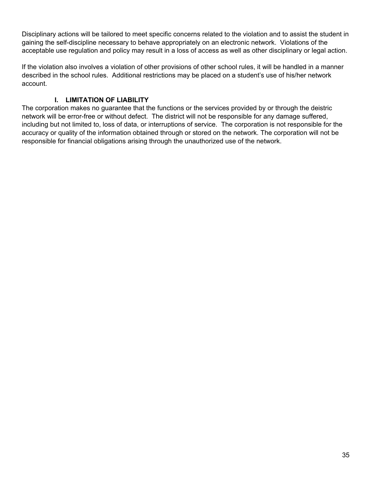Disciplinary actions will be tailored to meet specific concerns related to the violation and to assist the student in gaining the self-discipline necessary to behave appropriately on an electronic network. Violations of the acceptable use regulation and policy may result in a loss of access as well as other disciplinary or legal action.

If the violation also involves a violation of other provisions of other school rules, it will be handled in a manner described in the school rules. Additional restrictions may be placed on a student's use of his/her network account.

### **I. LIMITATION OF LIABILITY**

The corporation makes no guarantee that the functions or the services provided by or through the deistric network will be error-free or without defect. The district will not be responsible for any damage suffered, including but not limited to, loss of data, or interruptions of service. The corporation is not responsible for the accuracy or quality of the information obtained through or stored on the network. The corporation will not be responsible for financial obligations arising through the unauthorized use of the network.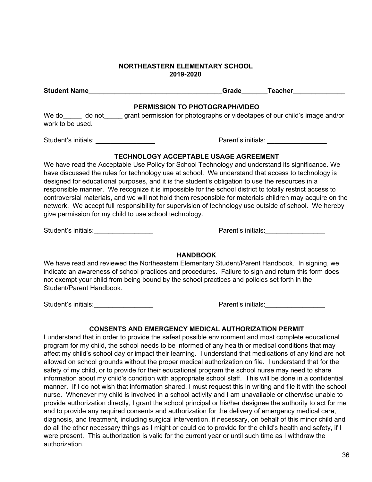#### **NORTHEASTERN ELEMENTARY SCHOOL 2019-2020**

| <b>Student Name</b> | Grade | Teacher |
|---------------------|-------|---------|
|                     |       |         |

#### **PERMISSION TO PHOTOGRAPH/VIDEO**

We do \_\_\_\_\_ do not \_\_\_\_\_ grant permission for photographs or videotapes of our child's image and/or work to be used.

Student's initials: <br> Parent's initials:

#### **TECHNOLOGY ACCEPTABLE USAGE AGREEMENT**

We have read the Acceptable Use Policy for School Technology and understand its significance. We have discussed the rules for technology use at school. We understand that access to technology is designed for educational purposes, and it is the student's obligation to use the resources in a responsible manner. We recognize it is impossible for the school district to totally restrict access to controversial materials, and we will not hold them responsible for materials children may acquire on the network. We accept full responsibility for supervision of technology use outside of school. We hereby give permission for my child to use school technology.

Student's initials: example and the example of the Parent's initials:

#### **HANDBOOK**

We have read and reviewed the Northeastern Elementary Student/Parent Handbook. In signing, we indicate an awareness of school practices and procedures. Failure to sign and return this form does not exempt your child from being bound by the school practices and policies set forth in the Student/Parent Handbook.

Student's initials: example and the example of the Parent's initials:

### **CONSENTS AND EMERGENCY MEDICAL AUTHORIZATION PERMIT**

I understand that in order to provide the safest possible environment and most complete educational program for my child, the school needs to be informed of any health or medical conditions that may affect my child's school day or impact their learning. I understand that medications of any kind are not allowed on school grounds without the proper medical authorization on file. I understand that for the safety of my child, or to provide for their educational program the school nurse may need to share information about my child's condition with appropriate school staff. This will be done in a confidential manner. If I do not wish that information shared, I must request this in writing and file it with the school nurse. Whenever my child is involved in a school activity and I am unavailable or otherwise unable to provide authorization directly, I grant the school principal or his/her designee the authority to act for me and to provide any required consents and authorization for the delivery of emergency medical care, diagnosis, and treatment, including surgical intervention, if necessary, on behalf of this minor child and do all the other necessary things as I might or could do to provide for the child's health and safety, if I were present. This authorization is valid for the current year or until such time as I withdraw the authorization.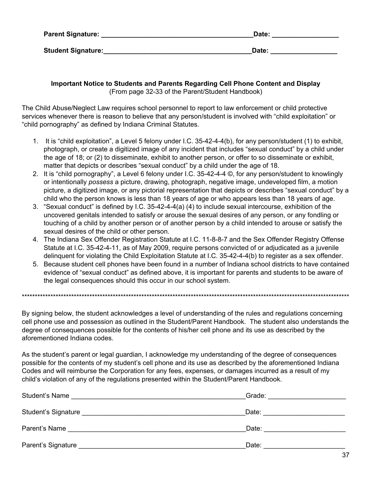| <b>Parent Signature:</b>  | Date: |
|---------------------------|-------|
| <b>Student Signature:</b> | Date: |

**Important Notice to Students and Parents Regarding Cell Phone Content and Display** (From page 32-33 of the Parent/Student Handbook)

The Child Abuse/Neglect Law requires school personnel to report to law enforcement or child protective services whenever there is reason to believe that any person/student is involved with "child exploitation" or "child pornography" as defined by Indiana Criminal Statutes.

- 1. It is "child exploitation", a Level 5 felony under I.C. 35-42-4-4(b), for any person/student (1) to exhibit, photograph, or create a digitized image of any incident that includes "sexual conduct" by a child under the age of 18; or (2) to disseminate, exhibit to another person, or offer to so disseminate or exhibit, matter that depicts or describes "sexual conduct" by a child under the age of 18.
- 2. It is "child pornography", a Level 6 felony under I.C. 35-42-4-4 ©, for any person/student to knowlingly or intentionally *possess* a picture, drawing, photograph, negative image, undeveloped film, a motion picture, a digitized image, or any pictorial representation that depicts or describes "sexual conduct" by a child who the person knows is less than 18 years of age or who appears less than 18 years of age.
- 3. "Sexual conduct" is defined by I.C. 35-42-4-4(a) (4) to include sexual intercourse, exhibition of the uncovered genitals intended to satisfy or arouse the sexual desires of any person, or any fondling or touching of a child by another person or of another person by a child intended to arouse or satisfy the sexual desires of the child or other person.
- 4. The Indiana Sex Offender Registration Statute at I.C. 11-8-8-7 and the Sex Offender Registry Offense Statute at I.C. 35-42-4-11, as of May 2009, require persons convicted of or adjudicated as a juvenile delinquent for violating the Child Exploitation Statute at I.C. 35-42-4-4(b) to register as a sex offender.
- 5. Because student cell phones have been found in a number of Indiana school districts to have contained evidence of "sexual conduct" as defined above, it is important for parents and students to be aware of the legal consequences should this occur in our school system.

By signing below, the student acknowledges a level of understanding of the rules and regulations concerning cell phone use and possession as outlined in the Student/Parent Handbook. The student also understands the degree of consequences possible for the contents of his/her cell phone and its use as described by the aforementioned Indiana codes.

\*\*\*\*\*\*\*\*\*\*\*\*\*\*\*\*\*\*\*\*\*\*\*\*\*\*\*\*\*\*\*\*\*\*\*\*\*\*\*\*\*\*\*\*\*\*\*\*\*\*\*\*\*\*\*\*\*\*\*\*\*\*\*\*\*\*\*\*\*\*\*\*\*\*\*\*\*\*\*\*\*\*\*\*\*\*\*\*\*\*\*\*\*\*\*\*\*\*\*\*\*\*\*\*\*\*\*\*\*\*\*\*\*\*\*\*\*\*\*\*\*\*\*\*\*\*

As the student's parent or legal guardian, I acknowledge my understanding of the degree of consequences possible for the contents of my student's cell phone and its use as described by the aforementioned Indiana Codes and will reimburse the Corporation for any fees, expenses, or damages incurred as a result of my child's violation of any of the regulations presented within the Student/Parent Handbook.

| Student's Name     | Grade: |
|--------------------|--------|
|                    | Date:  |
| Parent's Name      | Date:  |
| Parent's Signature | Date:  |